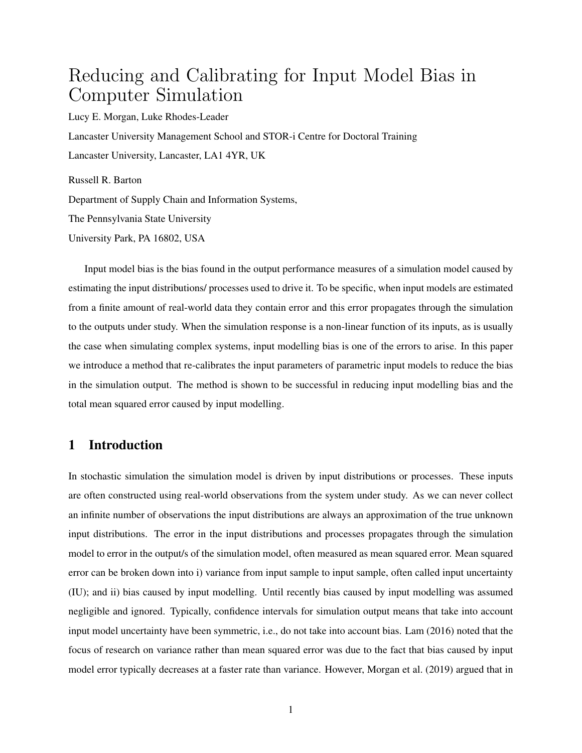# Reducing and Calibrating for Input Model Bias in Computer Simulation

Lucy E. Morgan, Luke Rhodes-Leader Lancaster University Management School and STOR-i Centre for Doctoral Training Lancaster University, Lancaster, LA1 4YR, UK

Russell R. Barton Department of Supply Chain and Information Systems, The Pennsylvania State University University Park, PA 16802, USA

Input model bias is the bias found in the output performance measures of a simulation model caused by estimating the input distributions/ processes used to drive it. To be specific, when input models are estimated from a finite amount of real-world data they contain error and this error propagates through the simulation to the outputs under study. When the simulation response is a non-linear function of its inputs, as is usually the case when simulating complex systems, input modelling bias is one of the errors to arise. In this paper we introduce a method that re-calibrates the input parameters of parametric input models to reduce the bias in the simulation output. The method is shown to be successful in reducing input modelling bias and the total mean squared error caused by input modelling.

# 1 Introduction

In stochastic simulation the simulation model is driven by input distributions or processes. These inputs are often constructed using real-world observations from the system under study. As we can never collect an infinite number of observations the input distributions are always an approximation of the true unknown input distributions. The error in the input distributions and processes propagates through the simulation model to error in the output/s of the simulation model, often measured as mean squared error. Mean squared error can be broken down into i) variance from input sample to input sample, often called input uncertainty (IU); and ii) bias caused by input modelling. Until recently bias caused by input modelling was assumed negligible and ignored. Typically, confidence intervals for simulation output means that take into account input model uncertainty have been symmetric, i.e., do not take into account bias. [Lam](#page-21-0) [\(2016\)](#page-21-0) noted that the focus of research on variance rather than mean squared error was due to the fact that bias caused by input model error typically decreases at a faster rate than variance. However, [Morgan et al.](#page-21-1) [\(2019\)](#page-21-1) argued that in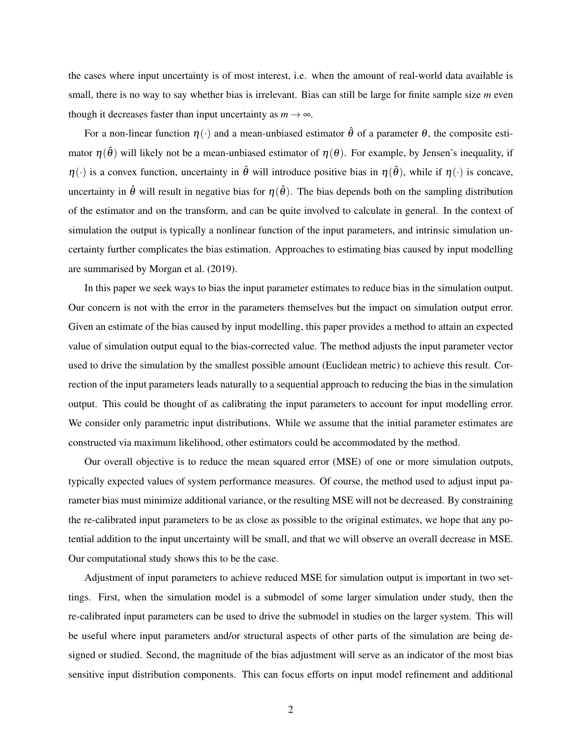the cases where input uncertainty is of most interest, i.e. when the amount of real-world data available is small, there is no way to say whether bias is irrelevant. Bias can still be large for finite sample size *m* even though it decreases faster than input uncertainty as  $m \to \infty$ .

For a non-linear function  $\eta(\cdot)$  and a mean-unbiased estimator  $\hat{\theta}$  of a parameter  $\theta$ , the composite estimator  $\eta(\hat{\theta})$  will likely not be a mean-unbiased estimator of  $\eta(\theta)$ . For example, by Jensen's inequality, if  $\eta(\cdot)$  is a convex function, uncertainty in  $\hat{\theta}$  will introduce positive bias in  $\eta(\hat{\theta})$ , while if  $\eta(\cdot)$  is concave, uncertainty in  $\hat{\theta}$  will result in negative bias for  $\eta(\hat{\theta})$ . The bias depends both on the sampling distribution of the estimator and on the transform, and can be quite involved to calculate in general. In the context of simulation the output is typically a nonlinear function of the input parameters, and intrinsic simulation uncertainty further complicates the bias estimation. Approaches to estimating bias caused by input modelling are summarised by [Morgan et al.](#page-21-1) [\(2019\)](#page-21-1).

In this paper we seek ways to bias the input parameter estimates to reduce bias in the simulation output. Our concern is not with the error in the parameters themselves but the impact on simulation output error. Given an estimate of the bias caused by input modelling, this paper provides a method to attain an expected value of simulation output equal to the bias-corrected value. The method adjusts the input parameter vector used to drive the simulation by the smallest possible amount (Euclidean metric) to achieve this result. Correction of the input parameters leads naturally to a sequential approach to reducing the bias in the simulation output. This could be thought of as calibrating the input parameters to account for input modelling error. We consider only parametric input distributions. While we assume that the initial parameter estimates are constructed via maximum likelihood, other estimators could be accommodated by the method.

Our overall objective is to reduce the mean squared error (MSE) of one or more simulation outputs, typically expected values of system performance measures. Of course, the method used to adjust input parameter bias must minimize additional variance, or the resulting MSE will not be decreased. By constraining the re-calibrated input parameters to be as close as possible to the original estimates, we hope that any potential addition to the input uncertainty will be small, and that we will observe an overall decrease in MSE. Our computational study shows this to be the case.

Adjustment of input parameters to achieve reduced MSE for simulation output is important in two settings. First, when the simulation model is a submodel of some larger simulation under study, then the re-calibrated input parameters can be used to drive the submodel in studies on the larger system. This will be useful where input parameters and/or structural aspects of other parts of the simulation are being designed or studied. Second, the magnitude of the bias adjustment will serve as an indicator of the most bias sensitive input distribution components. This can focus efforts on input model refinement and additional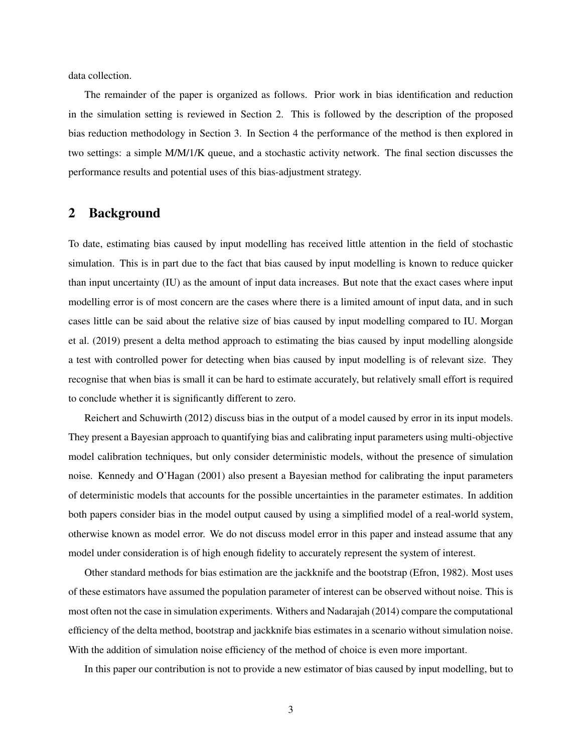data collection.

The remainder of the paper is organized as follows. Prior work in bias identification and reduction in the simulation setting is reviewed in Section [2.](#page-2-0) This is followed by the description of the proposed bias reduction methodology in Section [3.](#page-3-0) In Section [4](#page-10-0) the performance of the method is then explored in two settings: a simple M/M/1/K queue, and a stochastic activity network. The final section discusses the performance results and potential uses of this bias-adjustment strategy.

## <span id="page-2-0"></span>2 Background

To date, estimating bias caused by input modelling has received little attention in the field of stochastic simulation. This is in part due to the fact that bias caused by input modelling is known to reduce quicker than input uncertainty (IU) as the amount of input data increases. But note that the exact cases where input modelling error is of most concern are the cases where there is a limited amount of input data, and in such cases little can be said about the relative size of bias caused by input modelling compared to IU. [Morgan](#page-21-1) [et al.](#page-21-1) [\(2019\)](#page-21-1) present a delta method approach to estimating the bias caused by input modelling alongside a test with controlled power for detecting when bias caused by input modelling is of relevant size. They recognise that when bias is small it can be hard to estimate accurately, but relatively small effort is required to conclude whether it is significantly different to zero.

[Reichert and Schuwirth](#page-21-2) [\(2012\)](#page-21-2) discuss bias in the output of a model caused by error in its input models. They present a Bayesian approach to quantifying bias and calibrating input parameters using multi-objective model calibration techniques, but only consider deterministic models, without the presence of simulation noise. [Kennedy and O'Hagan](#page-21-3) [\(2001\)](#page-21-3) also present a Bayesian method for calibrating the input parameters of deterministic models that accounts for the possible uncertainties in the parameter estimates. In addition both papers consider bias in the model output caused by using a simplified model of a real-world system, otherwise known as model error. We do not discuss model error in this paper and instead assume that any model under consideration is of high enough fidelity to accurately represent the system of interest.

Other standard methods for bias estimation are the jackknife and the bootstrap [\(Efron,](#page-21-4) [1982\)](#page-21-4). Most uses of these estimators have assumed the population parameter of interest can be observed without noise. This is most often not the case in simulation experiments. [Withers and Nadarajah](#page-22-0) [\(2014\)](#page-22-0) compare the computational efficiency of the delta method, bootstrap and jackknife bias estimates in a scenario without simulation noise. With the addition of simulation noise efficiency of the method of choice is even more important.

In this paper our contribution is not to provide a new estimator of bias caused by input modelling, but to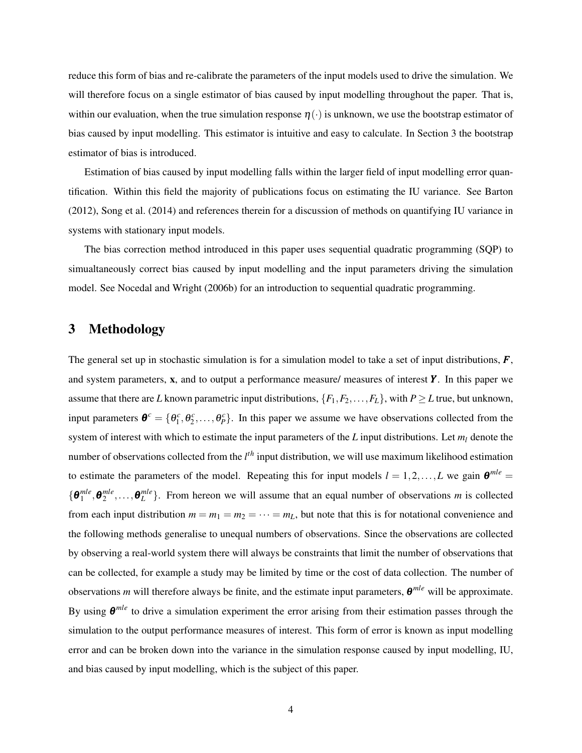reduce this form of bias and re-calibrate the parameters of the input models used to drive the simulation. We will therefore focus on a single estimator of bias caused by input modelling throughout the paper. That is, within our evaluation, when the true simulation response  $\eta(\cdot)$  is unknown, we use the bootstrap estimator of bias caused by input modelling. This estimator is intuitive and easy to calculate. In Section [3](#page-3-0) the bootstrap estimator of bias is introduced.

Estimation of bias caused by input modelling falls within the larger field of input modelling error quantification. Within this field the majority of publications focus on estimating the IU variance. See [Barton](#page-20-0) [\(2012\)](#page-20-0), [Song et al.](#page-21-5) [\(2014\)](#page-21-5) and references therein for a discussion of methods on quantifying IU variance in systems with stationary input models.

The bias correction method introduced in this paper uses sequential quadratic programming (SQP) to simualtaneously correct bias caused by input modelling and the input parameters driving the simulation model. See [Nocedal and Wright](#page-21-6) [\(2006b\)](#page-21-6) for an introduction to sequential quadratic programming.

## <span id="page-3-0"></span>3 Methodology

The general set up in stochastic simulation is for a simulation model to take a set of input distributions, *F*, and system parameters, x, and to output a performance measure/ measures of interest *Y* . In this paper we assume that there are *L* known parametric input distributions,  $\{F_1, F_2, \ldots, F_L\}$ , with  $P \ge L$  true, but unknown, input parameters  $\boldsymbol{\theta}^c = \{\theta_1^c, \theta_2^c, \dots, \theta_p^c\}$ . In this paper we assume we have observations collected from the system of interest with which to estimate the input parameters of the *L* input distributions. Let *m<sup>l</sup>* denote the number of observations collected from the *l th* input distribution, we will use maximum likelihood estimation to estimate the parameters of the model. Repeating this for input models  $l = 1, 2, ..., L$  we gain  $\theta^{mle} =$  $\{\boldsymbol{\theta}_1^{mle}, \boldsymbol{\theta}_2^{mle}, \dots, \boldsymbol{\theta}_L^{mle}\}$ . From hereon we will assume that an equal number of observations *m* is collected from each input distribution  $m = m_1 = m_2 = \cdots = m_L$ , but note that this is for notational convenience and the following methods generalise to unequal numbers of observations. Since the observations are collected by observing a real-world system there will always be constraints that limit the number of observations that can be collected, for example a study may be limited by time or the cost of data collection. The number of observations *m* will therefore always be finite, and the estimate input parameters, θ *mle* will be approximate. By using θ *mle* to drive a simulation experiment the error arising from their estimation passes through the simulation to the output performance measures of interest. This form of error is known as input modelling error and can be broken down into the variance in the simulation response caused by input modelling, IU, and bias caused by input modelling, which is the subject of this paper.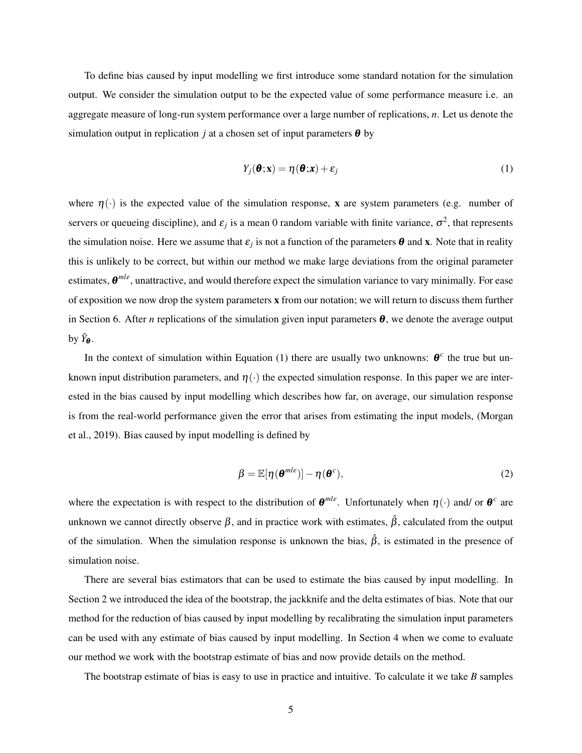To define bias caused by input modelling we first introduce some standard notation for the simulation output. We consider the simulation output to be the expected value of some performance measure i.e. an aggregate measure of long-run system performance over a large number of replications, *n*. Let us denote the simulation output in replication *j* at a chosen set of input parameters  $\theta$  by

<span id="page-4-0"></span>
$$
Y_j(\boldsymbol{\theta}; \mathbf{x}) = \eta(\boldsymbol{\theta}; \mathbf{x}) + \varepsilon_j \tag{1}
$$

where  $\eta(\cdot)$  is the expected value of the simulation response, x are system parameters (e.g. number of servers or queueing discipline), and  $\varepsilon_j$  is a mean 0 random variable with finite variance,  $\sigma^2$ , that represents the simulation noise. Here we assume that  $\varepsilon_j$  is not a function of the parameters  $\theta$  and x. Note that in reality this is unlikely to be correct, but within our method we make large deviations from the original parameter estimates, θ *mle*, unattractive, and would therefore expect the simulation variance to vary minimally. For ease of exposition we now drop the system parameters x from our notation; we will return to discuss them further in Section [6.](#page-19-0) After *n* replications of the simulation given input parameters  $\theta$ , we denote the average output by  $\bar{Y}_{\theta}$ .

In the context of simulation within Equation [\(1\)](#page-4-0) there are usually two unknowns:  $\theta^c$  the true but unknown input distribution parameters, and  $\eta(\cdot)$  the expected simulation response. In this paper we are interested in the bias caused by input modelling which describes how far, on average, our simulation response is from the real-world performance given the error that arises from estimating the input models, [\(Morgan](#page-21-1) [et al.,](#page-21-1) [2019\)](#page-21-1). Bias caused by input modelling is defined by

$$
\beta = \mathbb{E}[\eta(\boldsymbol{\theta}^{mle})] - \eta(\boldsymbol{\theta}^c),
$$
\n(2)

where the expectation is with respect to the distribution of  $\theta^{mle}$ . Unfortunately when  $\eta(\cdot)$  and/ or  $\theta^c$  are unknown we cannot directly observe  $\beta$ , and in practice work with estimates,  $\hat{\beta}$ , calculated from the output of the simulation. When the simulation response is unknown the bias,  $\hat{\beta}$ , is estimated in the presence of simulation noise.

There are several bias estimators that can be used to estimate the bias caused by input modelling. In Section [2](#page-2-0) we introduced the idea of the bootstrap, the jackknife and the delta estimates of bias. Note that our method for the reduction of bias caused by input modelling by recalibrating the simulation input parameters can be used with any estimate of bias caused by input modelling. In Section [4](#page-10-0) when we come to evaluate our method we work with the bootstrap estimate of bias and now provide details on the method.

The bootstrap estimate of bias is easy to use in practice and intuitive. To calculate it we take *B* samples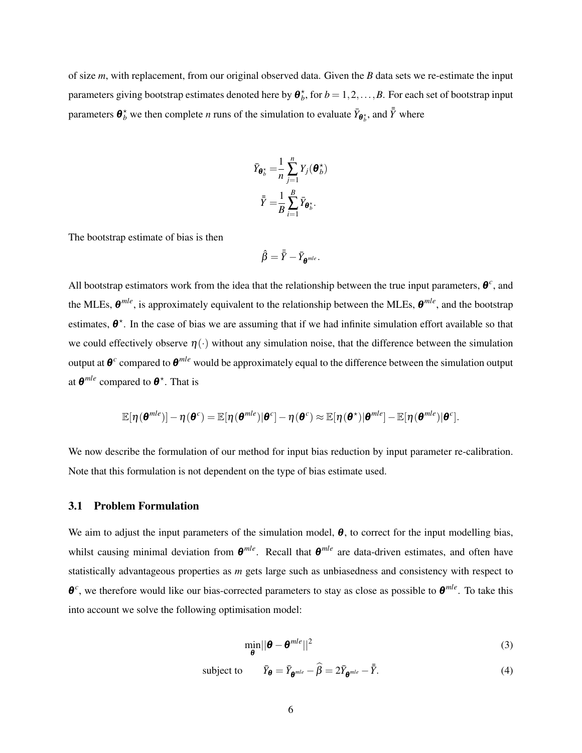of size *m*, with replacement, from our original observed data. Given the *B* data sets we re-estimate the input parameters giving bootstrap estimates denoted here by  $\boldsymbol{\theta}_b^*$ , for  $b = 1, 2, ..., B$ . For each set of bootstrap input parameters  $\bm{\theta}_b^{\star}$  we then complete *n* runs of the simulation to evaluate  $\bar{Y}_{\bm{\theta}_b^{\star}}$ , and  $\bar{\bar{Y}}$  where

$$
\bar{Y}_{\boldsymbol{\theta}_b^{\star}} = \frac{1}{n} \sum_{j=1}^n Y_j(\boldsymbol{\theta}_b^{\star})
$$

$$
\bar{\bar{Y}} = \frac{1}{B} \sum_{i=1}^B \bar{Y}_{\boldsymbol{\theta}_b^{\star}}.
$$

The bootstrap estimate of bias is then

$$
\hat{\beta} = \bar{\bar{Y}} - \bar{Y}_{\pmb{\theta}^{mle}}.
$$

All bootstrap estimators work from the idea that the relationship between the true input parameters,  $\theta^c$ , and the MLEs, θ *mle*, is approximately equivalent to the relationship between the MLEs, θ *mle*, and the bootstrap estimates,  $\theta^*$ . In the case of bias we are assuming that if we had infinite simulation effort available so that we could effectively observe  $\eta(\cdot)$  without any simulation noise, that the difference between the simulation output at  $\theta^c$  compared to  $\theta^{mle}$  would be approximately equal to the difference between the simulation output at  $\boldsymbol{\theta}^{mle}$  compared to  $\boldsymbol{\theta}^*$ . That is

$$
\mathbb{E}[\eta(\boldsymbol{\theta}^{mle})] - \eta(\boldsymbol{\theta}^{c}) = \mathbb{E}[\eta(\boldsymbol{\theta}^{mle})|\boldsymbol{\theta}^{c}] - \eta(\boldsymbol{\theta}^{c}) \approx \mathbb{E}[\eta(\boldsymbol{\theta}^{*})|\boldsymbol{\theta}^{mle}] - \mathbb{E}[\eta(\boldsymbol{\theta}^{mle})|\boldsymbol{\theta}^{c}].
$$

We now describe the formulation of our method for input bias reduction by input parameter re-calibration. Note that this formulation is not dependent on the type of bias estimate used.

#### 3.1 Problem Formulation

We aim to adjust the input parameters of the simulation model,  $\theta$ , to correct for the input modelling bias, whilst causing minimal deviation from  $θ^{mle}$ . Recall that  $θ^{mle}$  are data-driven estimates, and often have statistically advantageous properties as *m* gets large such as unbiasedness and consistency with respect to θ *c* , we therefore would like our bias-corrected parameters to stay as close as possible to θ *mle*. To take this into account we solve the following optimisation model:

<span id="page-5-1"></span><span id="page-5-0"></span>
$$
\min_{\boldsymbol{\theta}} \|\boldsymbol{\theta} - \boldsymbol{\theta}^{mle}\|^2 \tag{3}
$$

subject to  $\bar{Y}_{\theta} = \bar{Y}_{\theta^{mle}} - \hat{\beta} = 2\bar{Y}_{\theta^{mle}} - \bar{\bar{Y}}$  $\bar{\bar{Y}}$ . (4)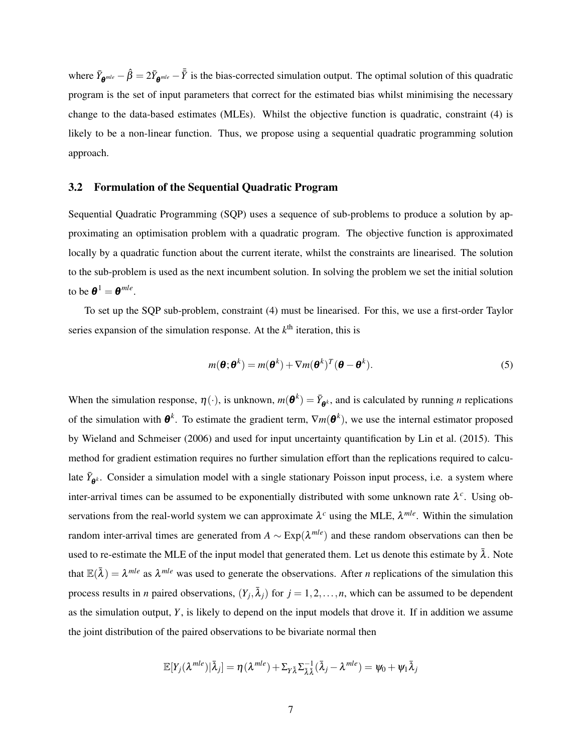where  $\bar{Y}_{\theta^{mle}} - \hat{\beta} = 2\bar{Y}_{\theta^{mle}} - \bar{\bar{Y}}$  is the bias-corrected simulation output. The optimal solution of this quadratic program is the set of input parameters that correct for the estimated bias whilst minimising the necessary change to the data-based estimates (MLEs). Whilst the objective function is quadratic, constraint [\(4\)](#page-5-0) is likely to be a non-linear function. Thus, we propose using a sequential quadratic programming solution approach.

## <span id="page-6-0"></span>3.2 Formulation of the Sequential Quadratic Program

Sequential Quadratic Programming (SQP) uses a sequence of sub-problems to produce a solution by approximating an optimisation problem with a quadratic program. The objective function is approximated locally by a quadratic function about the current iterate, whilst the constraints are linearised. The solution to the sub-problem is used as the next incumbent solution. In solving the problem we set the initial solution to be  $\boldsymbol{\theta}^1 = \boldsymbol{\theta}^{mle}$ .

To set up the SQP sub-problem, constraint [\(4\)](#page-5-0) must be linearised. For this, we use a first-order Taylor series expansion of the simulation response. At the  $k<sup>th</sup>$  iteration, this is

<span id="page-6-1"></span>
$$
m(\boldsymbol{\theta};\boldsymbol{\theta}^k) = m(\boldsymbol{\theta}^k) + \nabla m(\boldsymbol{\theta}^k)^T (\boldsymbol{\theta} - \boldsymbol{\theta}^k).
$$
 (5)

When the simulation response,  $\eta(\cdot)$ , is unknown,  $m(\theta^k) = \bar{Y}_{\theta^k}$ , and is calculated by running *n* replications of the simulation with  $\theta^k$ . To estimate the gradient term,  $\nabla m(\theta^k)$ , we use the internal estimator proposed by [Wieland and Schmeiser](#page-21-7) [\(2006\)](#page-21-7) and used for input uncertainty quantification by [Lin et al.](#page-21-8) [\(2015\)](#page-21-8). This method for gradient estimation requires no further simulation effort than the replications required to calculate  $\bar{Y}_{\theta^k}$ . Consider a simulation model with a single stationary Poisson input process, i.e. a system where inter-arrival times can be assumed to be exponentially distributed with some unknown rate  $\lambda^c$ . Using observations from the real-world system we can approximate  $\lambda^c$  using the MLE,  $\lambda^{mle}$ . Within the simulation random inter-arrival times are generated from *A* ∼ Exp(λ *mle*) and these random observations can then be used to re-estimate the MLE of the input model that generated them. Let us denote this estimate by  $\bar{\lambda}$ . Note that  $\mathbb{E}(\bar{\lambda}) = \lambda^{mle}$  as  $\lambda^{mle}$  was used to generate the observations. After *n* replications of the simulation this process results in *n* paired observations,  $(Y_j, \bar{\lambda}_j)$  for  $j = 1, 2, ..., n$ , which can be assumed to be dependent as the simulation output, *Y*, is likely to depend on the input models that drove it. If in addition we assume the joint distribution of the paired observations to be bivariate normal then

$$
\mathbb{E}[Y_j(\lambda^{mle})|\bar{\lambda}_j] = \eta(\lambda^{mle}) + \Sigma_{Y\bar{\lambda}}\Sigma_{\bar{\lambda}\bar{\lambda}}^{-1}(\bar{\lambda}_j - \lambda^{mle}) = \psi_0 + \psi_1\bar{\lambda}_j
$$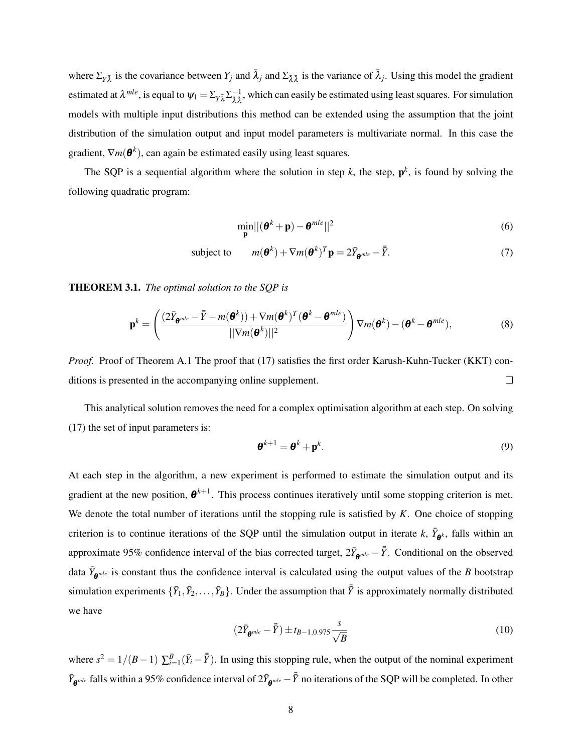where  $\Sigma_{Y\bar{\lambda}}$  is the covariance between  $Y_j$  and  $\bar{\lambda}_j$  and  $\Sigma_{\bar{\lambda}\bar{\lambda}}$  is the variance of  $\bar{\lambda}_j$ . Using this model the gradient estimated at  $\lambda^{mle}$ , is equal to  $\psi_1 = \sum_{Y \bar{\lambda}} \sum_{\bar{\lambda}}^{-1}$ , which can easily be estimated using least squares. For simulation models with multiple input distributions this method can be extended using the assumption that the joint distribution of the simulation output and input model parameters is multivariate normal. In this case the gradient,  $∇m(\theta^k)$ , can again be estimated easily using least squares.

The SQP is a sequential algorithm where the solution in step  $k$ , the step,  $p^k$ , is found by solving the following quadratic program:

<span id="page-7-0"></span>
$$
\min_{\mathbf{p}} ||(\boldsymbol{\theta}^k + \mathbf{p}) - \boldsymbol{\theta}^{mle}||^2
$$
 (6)

subject to  $m(\boldsymbol{\theta}^k) + \nabla m(\boldsymbol{\theta}^k)^T \mathbf{p} = 2 \bar{Y}_{\boldsymbol{\theta}^{mle}} - \bar{\bar{Y}}$  $\bar{\bar{Y}}$ . (7)

THEOREM 3.1. *The optimal solution to the SQP is*

$$
\mathbf{p}^{k} = \left(\frac{(2\bar{Y}_{\boldsymbol{\theta}^{mle}} - \bar{\bar{Y}} - m(\boldsymbol{\theta}^{k}))+\nabla m(\boldsymbol{\theta}^{k})^{T}(\boldsymbol{\theta}^{k} - \boldsymbol{\theta}^{mle})}{\|\nabla m(\boldsymbol{\theta}^{k})\|^{2}}\right) \nabla m(\boldsymbol{\theta}^{k}) - (\boldsymbol{\theta}^{k} - \boldsymbol{\theta}^{mle}),
$$
\n(8)

*Proof.* Proof of Theorem [A.1](#page-22-1) The proof that [\(17\)](#page-22-2) satisfies the first order Karush-Kuhn-Tucker (KKT) conditions is presented in the accompanying online supplement.  $\Box$ 

This analytical solution removes the need for a complex optimisation algorithm at each step. On solving [\(17\)](#page-22-2) the set of input parameters is:

$$
\boldsymbol{\theta}^{k+1} = \boldsymbol{\theta}^k + \mathbf{p}^k. \tag{9}
$$

At each step in the algorithm, a new experiment is performed to estimate the simulation output and its gradient at the new position,  $\boldsymbol{\theta}^{k+1}$ . This process continues iteratively until some stopping criterion is met. We denote the total number of iterations until the stopping rule is satisfied by *K*. One choice of stopping criterion is to continue iterations of the SQP until the simulation output in iterate  $k$ ,  $\bar{Y}_{\theta^k}$ , falls within an approximate 95% confidence interval of the bias corrected target,  $2\bar{Y}_{\theta^{mle}} - \bar{\bar{Y}}$ . Conditional on the observed data  $\bar{Y}_{\theta^{mle}}$  is constant thus the confidence interval is calculated using the output values of the *B* bootstrap simulation experiments  $\{\bar{Y}_1,\bar{Y}_2,\ldots,\bar{Y}_B\}$ . Under the assumption that  $\bar{\bar{Y}}$  is approximately normally distributed we have

<span id="page-7-1"></span>
$$
(2\bar{Y}_{\theta^{mle}} - \bar{\bar{Y}}) \pm t_{B-1,0.975} \frac{s}{\sqrt{B}}
$$
 (10)

where  $s^2 = 1/(B-1) \sum_{i=1}^B (\bar{Y}_i - \bar{\bar{Y}})$ . In using this stopping rule, when the output of the nominal experiment  $\bar{Y}_{\theta^{mle}}$  falls within a 95% confidence interval of  $2\bar{Y}_{\theta^{mle}} - \bar{\bar{Y}}$  no iterations of the SQP will be completed. In other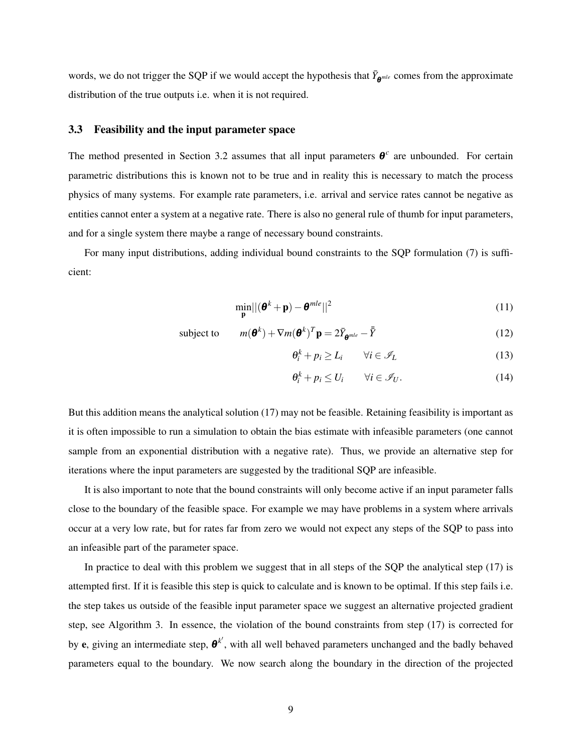words, we do not trigger the SQP if we would accept the hypothesis that  $\bar{Y}_{\theta^{mle}}$  comes from the approximate distribution of the true outputs i.e. when it is not required.

#### 3.3 Feasibility and the input parameter space

The method presented in Section [3.2](#page-6-0) assumes that all input parameters  $\boldsymbol{\theta}^c$  are unbounded. For certain parametric distributions this is known not to be true and in reality this is necessary to match the process physics of many systems. For example rate parameters, i.e. arrival and service rates cannot be negative as entities cannot enter a system at a negative rate. There is also no general rule of thumb for input parameters, and for a single system there maybe a range of necessary bound constraints.

For many input distributions, adding individual bound constraints to the SQP formulation [\(7\)](#page-7-0) is sufficient:

$$
\min_{\mathbf{p}} ||(\boldsymbol{\theta}^k + \mathbf{p}) - \boldsymbol{\theta}^{mle}||^2
$$
 (11)

subject to 
$$
m(\boldsymbol{\theta}^k) + \nabla m(\boldsymbol{\theta}^k)^T \mathbf{p} = 2\bar{Y}_{\boldsymbol{\theta}^{mle}} - \bar{\bar{Y}} \qquad (12)
$$

$$
\theta_i^k + p_i \ge L_i \qquad \forall i \in \mathcal{I}_L \tag{13}
$$

$$
\theta_i^k + p_i \le U_i \qquad \forall i \in \mathcal{I}_U. \tag{14}
$$

But this addition means the analytical solution [\(17\)](#page-22-2) may not be feasible. Retaining feasibility is important as it is often impossible to run a simulation to obtain the bias estimate with infeasible parameters (one cannot sample from an exponential distribution with a negative rate). Thus, we provide an alternative step for iterations where the input parameters are suggested by the traditional SQP are infeasible.

It is also important to note that the bound constraints will only become active if an input parameter falls close to the boundary of the feasible space. For example we may have problems in a system where arrivals occur at a very low rate, but for rates far from zero we would not expect any steps of the SQP to pass into an infeasible part of the parameter space.

In practice to deal with this problem we suggest that in all steps of the SQP the analytical step [\(17\)](#page-22-2) is attempted first. If it is feasible this step is quick to calculate and is known to be optimal. If this step fails i.e. the step takes us outside of the feasible input parameter space we suggest an alternative projected gradient step, see Algorithm [3.](#page-24-0) In essence, the violation of the bound constraints from step [\(17\)](#page-22-2) is corrected for by e, giving an intermediate step,  $\boldsymbol{\theta}^{k'}$ , with all well behaved parameters unchanged and the badly behaved parameters equal to the boundary. We now search along the boundary in the direction of the projected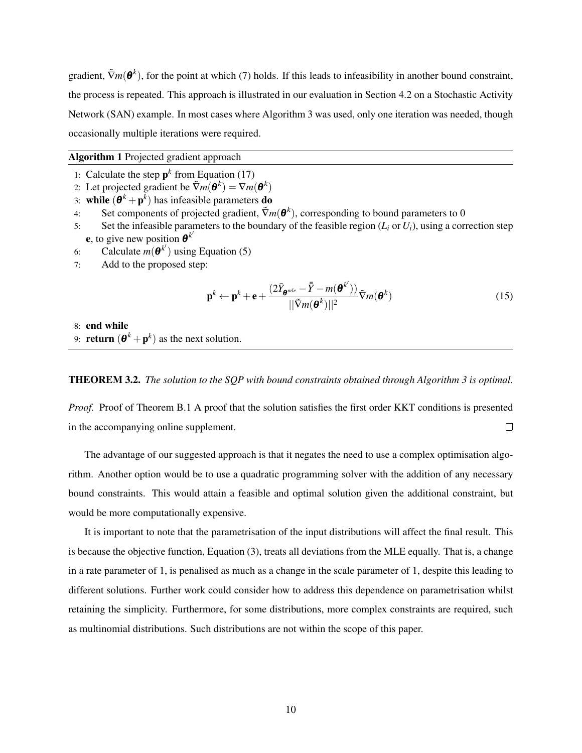gradient,  $\tilde{\nabla}m(\theta^k)$ , for the point at which [\(7\)](#page-7-0) holds. If this leads to infeasibility in another bound constraint, the process is repeated. This approach is illustrated in our evaluation in Section [4.2](#page-14-0) on a Stochastic Activity Network (SAN) example. In most cases where Algorithm [3](#page-24-0) was used, only one iteration was needed, though occasionally multiple iterations were required.

## Algorithm 1 Projected gradient approach

- 1: Calculate the step  $p^k$  from Equation [\(17\)](#page-22-2)
- 2: Let projected gradient be  $\tilde{\nabla}m(\boldsymbol{\theta}^k) = \nabla m(\boldsymbol{\theta}^k)$
- 3: while  $(\mathbf{\theta}^k + \mathbf{p}^k)$  has infeasible parameters **do**
- 4: Set components of projected gradient,  $\tilde{\nabla}m(\boldsymbol{\theta}^k)$ , corresponding to bound parameters to 0
- 5: Set the infeasible parameters to the boundary of the feasible region  $(L_i \text{ or } U_i)$ , using a correction step **e**, to give new position  $\boldsymbol{\theta}^{k'}$
- 6: Calculate  $m(\boldsymbol{\theta}^{k'})$  using Equation [\(5\)](#page-6-1)
- 7: Add to the proposed step:

$$
\mathbf{p}^{k} \leftarrow \mathbf{p}^{k} + \mathbf{e} + \frac{(2\bar{Y}_{\mathbf{\theta}^{mle}} - \bar{\bar{Y}} - m(\mathbf{\theta}^{k'}))}{||\tilde{\nabla}m(\mathbf{\theta}^{k})||^{2}} \tilde{\nabla}m(\mathbf{\theta}^{k})
$$
(15)

8: end while

9: **return**  $(\mathbf{\theta}^k + \mathbf{p}^k)$  as the next solution.

### THEOREM 3.2. *The solution to the SQP with bound constraints obtained through Algorithm [3](#page-24-0) is optimal.*

*Proof.* Proof of Theorem [B.1](#page-23-0) A proof that the solution satisfies the first order KKT conditions is presented in the accompanying online supplement.  $\Box$ 

The advantage of our suggested approach is that it negates the need to use a complex optimisation algorithm. Another option would be to use a quadratic programming solver with the addition of any necessary bound constraints. This would attain a feasible and optimal solution given the additional constraint, but would be more computationally expensive.

It is important to note that the parametrisation of the input distributions will affect the final result. This is because the objective function, Equation [\(3\)](#page-5-1), treats all deviations from the MLE equally. That is, a change in a rate parameter of 1, is penalised as much as a change in the scale parameter of 1, despite this leading to different solutions. Further work could consider how to address this dependence on parametrisation whilst retaining the simplicity. Furthermore, for some distributions, more complex constraints are required, such as multinomial distributions. Such distributions are not within the scope of this paper.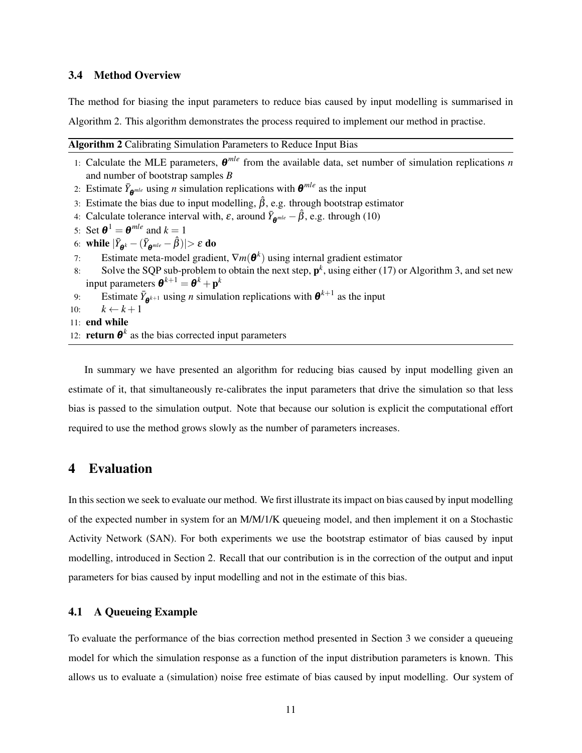## 3.4 Method Overview

The method for biasing the input parameters to reduce bias caused by input modelling is summarised in Algorithm [2.](#page-10-1) This algorithm demonstrates the process required to implement our method in practise.

<span id="page-10-1"></span>

| Algorithm 2 Calibrating Simulation Parameters to Reduce Input Bias |  |  |  |  |
|--------------------------------------------------------------------|--|--|--|--|
|--------------------------------------------------------------------|--|--|--|--|

- 1: Calculate the MLE parameters,  $\theta^{mle}$  from the available data, set number of simulation replications *n* and number of bootstrap samples *B*
- 2: Estimate  $\bar{Y}_{\theta^{mle}}$  using *n* simulation replications with  $\theta^{mle}$  as the input
- 3: Estimate the bias due to input modelling,  $\hat{\beta}$ , e.g. through bootstrap estimator
- 4: Calculate tolerance interval with,  $\varepsilon$ , around  $\bar{Y}_{\theta^{mle}} \hat{\beta}$ , e.g. through [\(10\)](#page-7-1)
- 5: Set  $\boldsymbol{\theta}^1 = \boldsymbol{\theta}^{mle}$  and  $k = 1$
- 6: while  $|\bar{Y}_{\theta^k} (\bar{Y}_{\theta^{mle}} \hat{\beta})| > \varepsilon$  do
- 7: Estimate meta-model gradient,  $\nabla m(\boldsymbol{\theta}^k)$  using internal gradient estimator
- 8: Solve the SQP sub-problem to obtain the next step,  $p^k$ , using either [\(17\)](#page-22-2) or Algorithm [3,](#page-24-0) and set new input parameters  $\boldsymbol{\theta}^{k+1} = \boldsymbol{\theta}^k + \mathbf{p}^k$
- 9: Estimate  $\bar{Y}_{\theta^{k+1}}$  using *n* simulation replications with  $\theta^{k+1}$  as the input
- 10:  $k \leftarrow k+1$
- $11 \cdot$  end while
- 12: **return**  $\theta^k$  as the bias corrected input parameters

In summary we have presented an algorithm for reducing bias caused by input modelling given an estimate of it, that simultaneously re-calibrates the input parameters that drive the simulation so that less bias is passed to the simulation output. Note that because our solution is explicit the computational effort required to use the method grows slowly as the number of parameters increases.

## <span id="page-10-0"></span>4 Evaluation

In this section we seek to evaluate our method. We first illustrate its impact on bias caused by input modelling of the expected number in system for an M/M/1/K queueing model, and then implement it on a Stochastic Activity Network (SAN). For both experiments we use the bootstrap estimator of bias caused by input modelling, introduced in Section [2.](#page-2-0) Recall that our contribution is in the correction of the output and input parameters for bias caused by input modelling and not in the estimate of this bias.

## <span id="page-10-2"></span>4.1 A Queueing Example

To evaluate the performance of the bias correction method presented in Section [3](#page-3-0) we consider a queueing model for which the simulation response as a function of the input distribution parameters is known. This allows us to evaluate a (simulation) noise free estimate of bias caused by input modelling. Our system of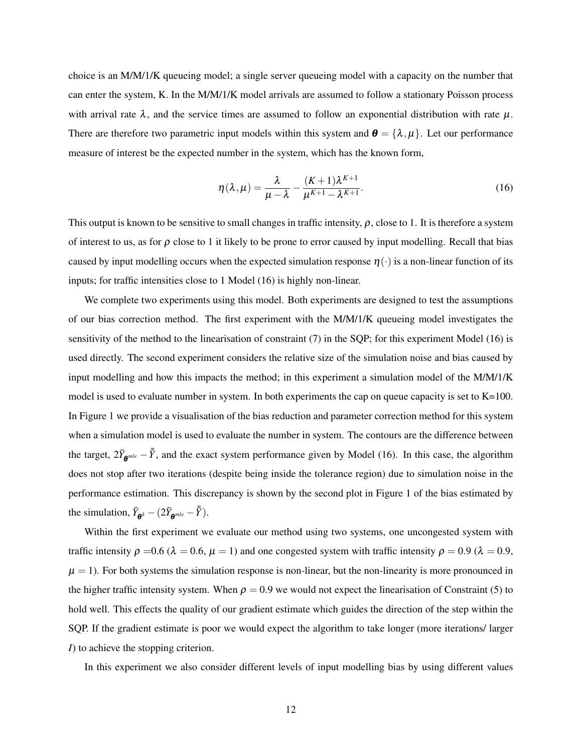choice is an M/M/1/K queueing model; a single server queueing model with a capacity on the number that can enter the system, K. In the M/M/1/K model arrivals are assumed to follow a stationary Poisson process with arrival rate  $\lambda$ , and the service times are assumed to follow an exponential distribution with rate  $\mu$ . There are therefore two parametric input models within this system and  $\boldsymbol{\theta} = {\lambda, \mu}$ . Let our performance measure of interest be the expected number in the system, which has the known form,

<span id="page-11-0"></span>
$$
\eta(\lambda,\mu) = \frac{\lambda}{\mu - \lambda} - \frac{(K+1)\lambda^{K+1}}{\mu^{K+1} - \lambda^{K+1}}.
$$
\n(16)

This output is known to be sensitive to small changes in traffic intensity,  $\rho$ , close to 1. It is therefore a system of interest to us, as for  $\rho$  close to 1 it likely to be prone to error caused by input modelling. Recall that bias caused by input modelling occurs when the expected simulation response  $\eta(\cdot)$  is a non-linear function of its inputs; for traffic intensities close to 1 Model [\(16\)](#page-11-0) is highly non-linear.

We complete two experiments using this model. Both experiments are designed to test the assumptions of our bias correction method. The first experiment with the M/M/1/K queueing model investigates the sensitivity of the method to the linearisation of constraint [\(7\)](#page-7-0) in the SQP; for this experiment Model [\(16\)](#page-11-0) is used directly. The second experiment considers the relative size of the simulation noise and bias caused by input modelling and how this impacts the method; in this experiment a simulation model of the M/M/1/K model is used to evaluate number in system. In both experiments the cap on queue capacity is set to  $K=100$ . In Figure [1](#page-12-0) we provide a visualisation of the bias reduction and parameter correction method for this system when a simulation model is used to evaluate the number in system. The contours are the difference between the target,  $2\bar{Y}_{\theta^{mle}} - \bar{Y}$ , and the exact system performance given by Model [\(16\)](#page-11-0). In this case, the algorithm does not stop after two iterations (despite being inside the tolerance region) due to simulation noise in the performance estimation. This discrepancy is shown by the second plot in Figure [1](#page-12-0) of the bias estimated by the simulation,  $\bar{Y}_{\theta^k} - (2\bar{Y}_{\theta^{mle}} - \bar{\bar{Y}}).$ 

Within the first experiment we evaluate our method using two systems, one uncongested system with traffic intensity  $\rho = 0.6$  ( $\lambda = 0.6$ ,  $\mu = 1$ ) and one congested system with traffic intensity  $\rho = 0.9$  ( $\lambda = 0.9$ ,  $\mu = 1$ ). For both systems the simulation response is non-linear, but the non-linearity is more pronounced in the higher traffic intensity system. When  $\rho = 0.9$  we would not expect the linearisation of Constraint [\(5\)](#page-6-1) to hold well. This effects the quality of our gradient estimate which guides the direction of the step within the SQP. If the gradient estimate is poor we would expect the algorithm to take longer (more iterations/ larger *I*) to achieve the stopping criterion.

In this experiment we also consider different levels of input modelling bias by using different values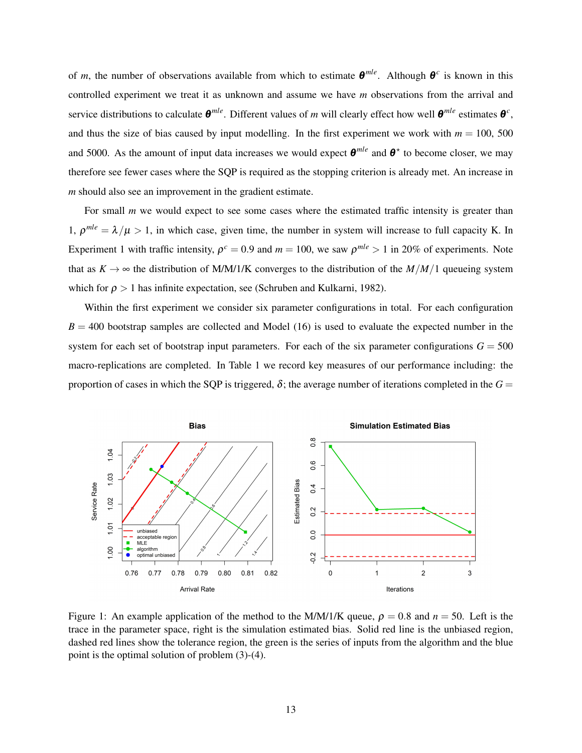of *m*, the number of observations available from which to estimate  $\theta^{mle}$ . Although  $\theta^c$  is known in this controlled experiment we treat it as unknown and assume we have *m* observations from the arrival and service distributions to calculate  $\theta^{mle}$ . Different values of *m* will clearly effect how well  $\theta^{mle}$  estimates  $\theta^c$ , and thus the size of bias caused by input modelling. In the first experiment we work with  $m = 100$ , 500 and 5000. As the amount of input data increases we would expect  $\theta^{mle}$  and  $\theta^*$  to become closer, we may therefore see fewer cases where the SQP is required as the stopping criterion is already met. An increase in *m* should also see an improvement in the gradient estimate.

For small *m* we would expect to see some cases where the estimated traffic intensity is greater than 1,  $\rho^{mle} = \lambda/\mu > 1$ , in which case, given time, the number in system will increase to full capacity K. In Experiment 1 with traffic intensity,  $\rho^c = 0.9$  and  $m = 100$ , we saw  $\rho^{mle} > 1$  in 20% of experiments. Note that as  $K \to \infty$  the distribution of M/M/1/K converges to the distribution of the  $M/M/1$  queueing system which for  $\rho > 1$  has infinite expectation, see [\(Schruben and Kulkarni,](#page-21-9) [1982\)](#page-21-9).

Within the first experiment we consider six parameter configurations in total. For each configuration  $B = 400$  bootstrap samples are collected and Model [\(16\)](#page-11-0) is used to evaluate the expected number in the system for each set of bootstrap input parameters. For each of the six parameter configurations  $G = 500$ macro-replications are completed. In Table [1](#page-13-0) we record key measures of our performance including: the proportion of cases in which the SQP is triggered,  $\delta$ ; the average number of iterations completed in the  $G =$ 

<span id="page-12-0"></span>

Figure 1: An example application of the method to the M/M/1/K queue,  $\rho = 0.8$  and  $n = 50$ . Left is the trace in the parameter space, right is the simulation estimated bias. Solid red line is the unbiased region, dashed red lines show the tolerance region, the green is the series of inputs from the algorithm and the blue point is the optimal solution of problem [\(3\)](#page-5-1)-[\(4\)](#page-5-0).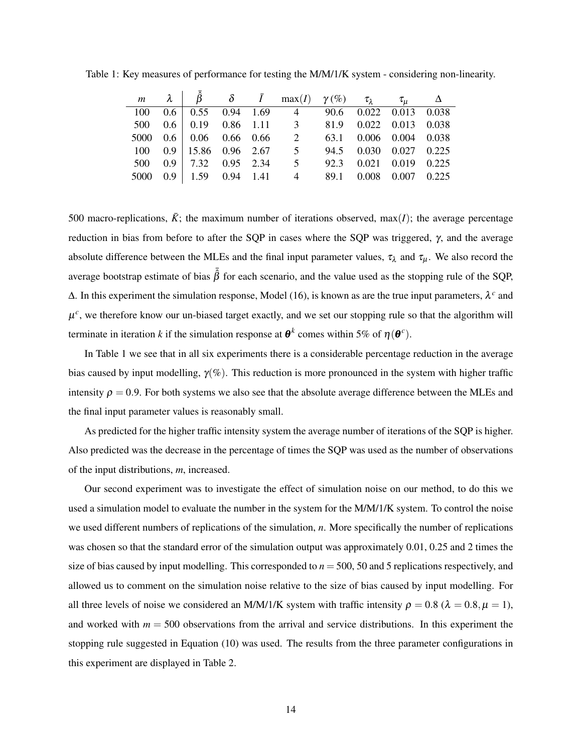|  |  | $m \quad \lambda \mid \hat{\beta} \quad \delta \quad \bar{I} \quad \max(I) \quad \gamma(\%) \quad \tau_{\lambda} \quad \tau_{\mu} \quad \Delta$ |  |  |
|--|--|-------------------------------------------------------------------------------------------------------------------------------------------------|--|--|
|  |  | 100  0.6  0.55  0.94  1.69  4  90.6  0.022  0.013  0.038                                                                                        |  |  |
|  |  | 500  0.6  0.19  0.86  1.11  3  81.9  0.022  0.013  0.038                                                                                        |  |  |
|  |  | 5000  0.6  0.06  0.66  0.66  2  63.1  0.006  0.004  0.038                                                                                       |  |  |
|  |  | 100  0.9  15.86  0.96  2.67  5  94.5  0.030  0.027  0.225                                                                                       |  |  |
|  |  | 500 0.9 7.32 0.95 2.34 5 92.3 0.021 0.019 0.225                                                                                                 |  |  |
|  |  | 5000 0.9 1.59 0.94 1.41 4 89.1 0.008 0.007 0.225                                                                                                |  |  |

<span id="page-13-0"></span>Table 1: Key measures of performance for testing the M/M/1/K system - considering non-linearity.

500 macro-replications,  $\bar{K}$ ; the maximum number of iterations observed, max(*I*); the average percentage reduction in bias from before to after the SQP in cases where the SQP was triggered, γ, and the average absolute difference between the MLEs and the final input parameter values,  $\tau_{\lambda}$  and  $\tau_{\mu}$ . We also record the average bootstrap estimate of bias  $\bar{\hat{\beta}}$  for each scenario, and the value used as the stopping rule of the SQP,  $Δ$ . In this experiment the simulation response, Model [\(16\)](#page-11-0), is known as are the true input parameters,  $λ<sup>c</sup>$  and  $\mu^c$ , we therefore know our un-biased target exactly, and we set our stopping rule so that the algorithm will terminate in iteration *k* if the simulation response at  $\theta^k$  comes within 5% of  $\eta(\theta^c)$ .

In Table [1](#page-13-0) we see that in all six experiments there is a considerable percentage reduction in the average bias caused by input modelling,  $\gamma(\%)$ . This reduction is more pronounced in the system with higher traffic intensity  $\rho = 0.9$ . For both systems we also see that the absolute average difference between the MLEs and the final input parameter values is reasonably small.

As predicted for the higher traffic intensity system the average number of iterations of the SQP is higher. Also predicted was the decrease in the percentage of times the SQP was used as the number of observations of the input distributions, *m*, increased.

Our second experiment was to investigate the effect of simulation noise on our method, to do this we used a simulation model to evaluate the number in the system for the M/M/1/K system. To control the noise we used different numbers of replications of the simulation, *n*. More specifically the number of replications was chosen so that the standard error of the simulation output was approximately 0.01, 0.25 and 2 times the size of bias caused by input modelling. This corresponded to *n* = 500, 50 and 5 replications respectively, and allowed us to comment on the simulation noise relative to the size of bias caused by input modelling. For all three levels of noise we considered an M/M/1/K system with traffic intensity  $\rho = 0.8$  ( $\lambda = 0.8, \mu = 1$ ), and worked with  $m = 500$  observations from the arrival and service distributions. In this experiment the stopping rule suggested in Equation [\(10\)](#page-7-1) was used. The results from the three parameter configurations in this experiment are displayed in Table [2.](#page-14-1)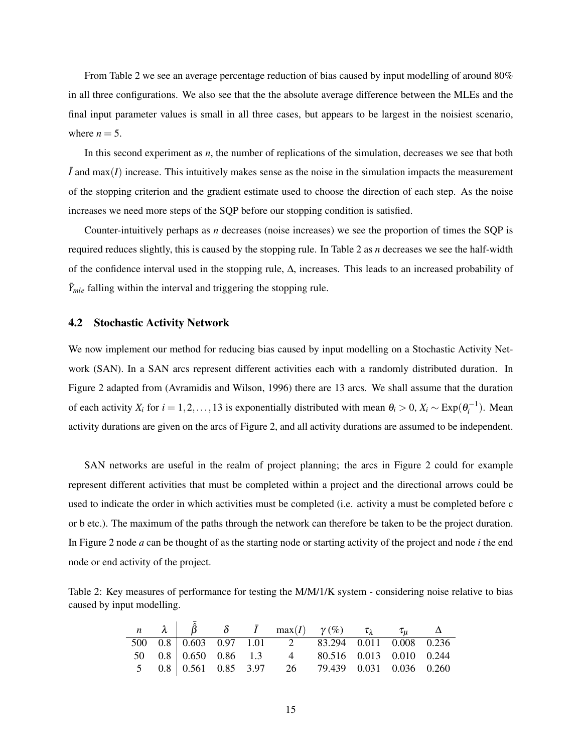From Table [2](#page-14-1) we see an average percentage reduction of bias caused by input modelling of around 80% in all three configurations. We also see that the the absolute average difference between the MLEs and the final input parameter values is small in all three cases, but appears to be largest in the noisiest scenario, where  $n = 5$ .

In this second experiment as *n*, the number of replications of the simulation, decreases we see that both  $\bar{I}$  and max( $I$ ) increase. This intuitively makes sense as the noise in the simulation impacts the measurement of the stopping criterion and the gradient estimate used to choose the direction of each step. As the noise increases we need more steps of the SQP before our stopping condition is satisfied.

Counter-intuitively perhaps as *n* decreases (noise increases) we see the proportion of times the SQP is required reduces slightly, this is caused by the stopping rule. In Table [2](#page-14-1) as *n* decreases we see the half-width of the confidence interval used in the stopping rule, ∆, increases. This leads to an increased probability of  $\bar{Y}_{mle}$  falling within the interval and triggering the stopping rule.

#### <span id="page-14-0"></span>4.2 Stochastic Activity Network

We now implement our method for reducing bias caused by input modelling on a Stochastic Activity Network (SAN). In a SAN arcs represent different activities each with a randomly distributed duration. In Figure [2](#page-15-0) adapted from [\(Avramidis and Wilson,](#page-20-1) [1996\)](#page-20-1) there are 13 arcs. We shall assume that the duration of each activity  $X_i$  for  $i = 1, 2, ..., 13$  is exponentially distributed with mean  $\theta_i > 0$ ,  $X_i \sim \text{Exp}(\theta_i^{-1})$ . Mean activity durations are given on the arcs of Figure [2,](#page-15-0) and all activity durations are assumed to be independent.

SAN networks are useful in the realm of project planning; the arcs in Figure [2](#page-15-0) could for example represent different activities that must be completed within a project and the directional arrows could be used to indicate the order in which activities must be completed (i.e. activity a must be completed before c or b etc.). The maximum of the paths through the network can therefore be taken to be the project duration. In Figure [2](#page-15-0) node *a* can be thought of as the starting node or starting activity of the project and node *i* the end node or end activity of the project.

<span id="page-14-1"></span>Table 2: Key measures of performance for testing the M/M/1/K system - considering noise relative to bias caused by input modelling.

|  |  |  | $n \quad \lambda \quad \hat{\beta} \quad \delta \quad \bar{I} \quad \max(I) \quad \gamma(\%) \quad \tau_{\lambda} \quad \tau_{\mu} \quad \Delta$ |  |  |
|--|--|--|--------------------------------------------------------------------------------------------------------------------------------------------------|--|--|
|  |  |  | 500 0.8 0.603 0.97 1.01 2 83.294 0.011 0.008 0.236                                                                                               |  |  |
|  |  |  | 50  0.8  0.650  0.86  1.3  4  80.516  0.013  0.010  0.244                                                                                        |  |  |
|  |  |  | 5 0.8 0.561 0.85 3.97 26 79.439 0.031 0.036 0.260                                                                                                |  |  |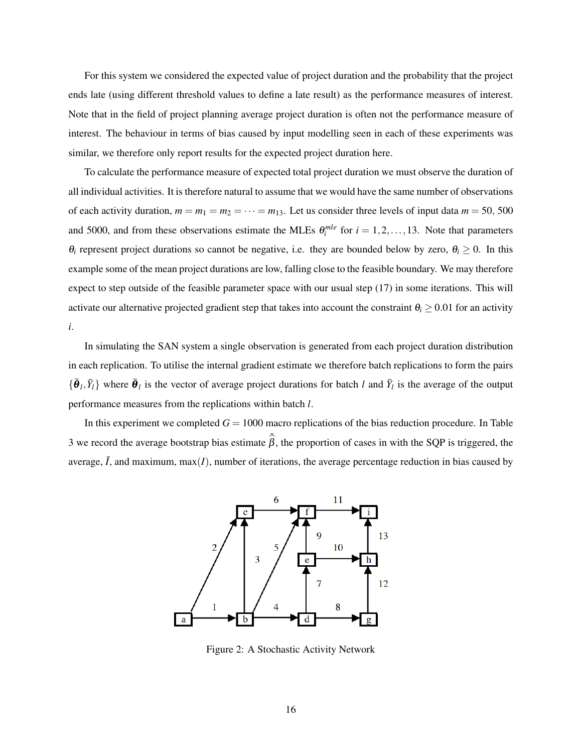For this system we considered the expected value of project duration and the probability that the project ends late (using different threshold values to define a late result) as the performance measures of interest. Note that in the field of project planning average project duration is often not the performance measure of interest. The behaviour in terms of bias caused by input modelling seen in each of these experiments was similar, we therefore only report results for the expected project duration here.

To calculate the performance measure of expected total project duration we must observe the duration of all individual activities. It is therefore natural to assume that we would have the same number of observations of each activity duration,  $m = m_1 = m_2 = \cdots = m_{13}$ . Let us consider three levels of input data  $m = 50, 500$ and 5000, and from these observations estimate the MLEs  $\theta_i^{mle}$  for  $i = 1, 2, ..., 13$ . Note that parameters  $\theta_i$  represent project durations so cannot be negative, i.e. they are bounded below by zero,  $\theta_i \geq 0$ . In this example some of the mean project durations are low, falling close to the feasible boundary. We may therefore expect to step outside of the feasible parameter space with our usual step [\(17\)](#page-22-2) in some iterations. This will activate our alternative projected gradient step that takes into account the constraint  $\theta_i \geq 0.01$  for an activity *i*.

In simulating the SAN system a single observation is generated from each project duration distribution in each replication. To utilise the internal gradient estimate we therefore batch replications to form the pairs  $\{\bar{\bm{\theta}}_l, \bar{Y}_l\}$  where  $\bar{\bm{\theta}}_l$  is the vector of average project durations for batch *l* and  $\bar{Y}_l$  is the average of the output performance measures from the replications within batch *l*.

<span id="page-15-0"></span>In this experiment we completed  $G = 1000$  macro replications of the bias reduction procedure. In Table [3](#page-16-0) we record the average bootstrap bias estimate  $\bar{\hat{\beta}}$ , the proportion of cases in with the SQP is triggered, the average,  $\bar{I}$ , and maximum, max $(I)$ , number of iterations, the average percentage reduction in bias caused by



Figure 2: A Stochastic Activity Network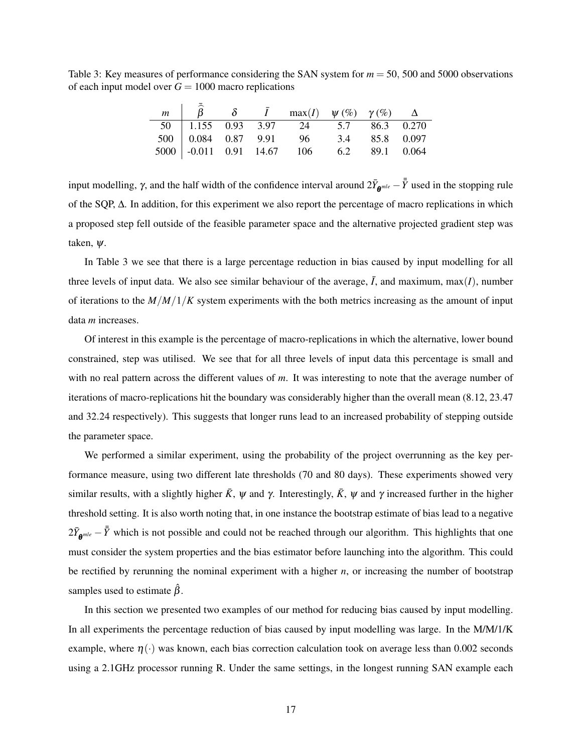<span id="page-16-0"></span>Table 3: Key measures of performance considering the SAN system for *m* = 50, 500 and 5000 observations of each input model over  $G = 1000$  macro replications

|  |  | $m \begin{pmatrix} \widehat{\beta} & \delta & \bar{I} & \max(I) & \psi(\%) & \gamma(\%) & \Delta \end{pmatrix}$ |  |  |
|--|--|-----------------------------------------------------------------------------------------------------------------|--|--|
|  |  | 50 1.155 0.93 3.97 24 5.7 86.3 0.270                                                                            |  |  |
|  |  | 500 0.084 0.87 9.91 96 3.4 85.8 0.097                                                                           |  |  |
|  |  | $5000$ -0.011 0.91 14.67 106 6.2 89.1 0.064                                                                     |  |  |

input modelling,  $\gamma$ , and the half width of the confidence interval around  $2\bar{Y}_{\theta^{mle}} - \bar{\bar{Y}}$  used in the stopping rule of the SQP, ∆. In addition, for this experiment we also report the percentage of macro replications in which a proposed step fell outside of the feasible parameter space and the alternative projected gradient step was taken, ψ.

In Table [3](#page-16-0) we see that there is a large percentage reduction in bias caused by input modelling for all three levels of input data. We also see similar behaviour of the average,  $\bar{I}$ , and maximum, max $(I)$ , number of iterations to the *M*/*M*/1/*K* system experiments with the both metrics increasing as the amount of input data *m* increases.

Of interest in this example is the percentage of macro-replications in which the alternative, lower bound constrained, step was utilised. We see that for all three levels of input data this percentage is small and with no real pattern across the different values of *m*. It was interesting to note that the average number of iterations of macro-replications hit the boundary was considerably higher than the overall mean (8.12, 23.47 and 32.24 respectively). This suggests that longer runs lead to an increased probability of stepping outside the parameter space.

We performed a similar experiment, using the probability of the project overrunning as the key performance measure, using two different late thresholds (70 and 80 days). These experiments showed very similar results, with a slightly higher  $\bar{K}$ ,  $\psi$  and  $\gamma$ . Interestingly,  $\bar{K}$ ,  $\psi$  and  $\gamma$  increased further in the higher threshold setting. It is also worth noting that, in one instance the bootstrap estimate of bias lead to a negative  $2\bar{Y}_{\theta^{mle}} - \bar{\bar{Y}}$  which is not possible and could not be reached through our algorithm. This highlights that one must consider the system properties and the bias estimator before launching into the algorithm. This could be rectified by rerunning the nominal experiment with a higher *n*, or increasing the number of bootstrap samples used to estimate  $\hat{\beta}$ .

In this section we presented two examples of our method for reducing bias caused by input modelling. In all experiments the percentage reduction of bias caused by input modelling was large. In the M/M/1/K example, where  $\eta(\cdot)$  was known, each bias correction calculation took on average less than 0.002 seconds using a 2.1GHz processor running R. Under the same settings, in the longest running SAN example each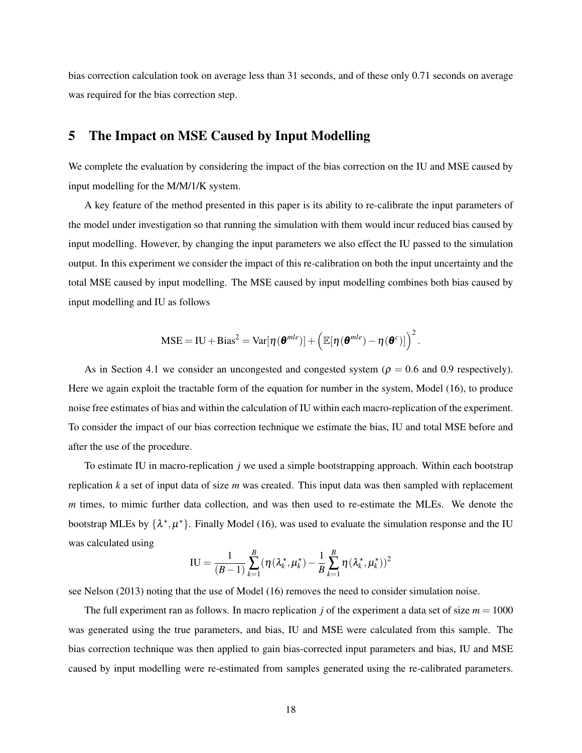bias correction calculation took on average less than 31 seconds, and of these only 0.71 seconds on average was required for the bias correction step.

# <span id="page-17-0"></span>5 The Impact on MSE Caused by Input Modelling

We complete the evaluation by considering the impact of the bias correction on the IU and MSE caused by input modelling for the M/M/1/K system.

A key feature of the method presented in this paper is its ability to re-calibrate the input parameters of the model under investigation so that running the simulation with them would incur reduced bias caused by input modelling. However, by changing the input parameters we also effect the IU passed to the simulation output. In this experiment we consider the impact of this re-calibration on both the input uncertainty and the total MSE caused by input modelling. The MSE caused by input modelling combines both bias caused by input modelling and IU as follows

$$
MSE = IU + Bias^2 = Var[\eta(\boldsymbol{\theta}^{mle})] + \left( \mathbb{E}[\eta(\boldsymbol{\theta}^{mle}) - \eta(\boldsymbol{\theta}^{c})] \right)^2.
$$

As in Section [4.1](#page-10-2) we consider an uncongested and congested system ( $\rho = 0.6$  and 0.9 respectively). Here we again exploit the tractable form of the equation for number in the system, Model [\(16\)](#page-11-0), to produce noise free estimates of bias and within the calculation of IU within each macro-replication of the experiment. To consider the impact of our bias correction technique we estimate the bias, IU and total MSE before and after the use of the procedure.

To estimate IU in macro-replication *j* we used a simple bootstrapping approach. Within each bootstrap replication *k* a set of input data of size *m* was created. This input data was then sampled with replacement *m* times, to mimic further data collection, and was then used to re-estimate the MLEs. We denote the bootstrap MLEs by  $\{\lambda^*, \mu^*\}$ . Finally Model [\(16\)](#page-11-0), was used to evaluate the simulation response and the IU was calculated using

$$
IU = \frac{1}{(B-1)}\sum_{k=1}^{B} (\eta(\lambda_k^*, \mu_k^*) - \frac{1}{B}\sum_{k=1}^{B} \eta(\lambda_k^*, \mu_k^*)^2
$$

see [Nelson](#page-21-10) [\(2013\)](#page-21-10) noting that the use of Model [\(16\)](#page-11-0) removes the need to consider simulation noise.

The full experiment ran as follows. In macro replication *j* of the experiment a data set of size  $m = 1000$ was generated using the true parameters, and bias, IU and MSE were calculated from this sample. The bias correction technique was then applied to gain bias-corrected input parameters and bias, IU and MSE caused by input modelling were re-estimated from samples generated using the re-calibrated parameters.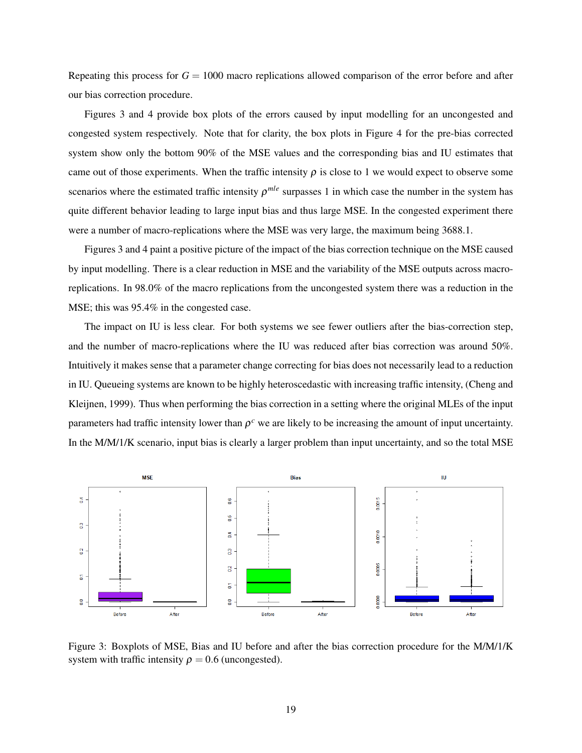Repeating this process for  $G = 1000$  macro replications allowed comparison of the error before and after our bias correction procedure.

Figures [3](#page-18-0) and [4](#page-19-1) provide box plots of the errors caused by input modelling for an uncongested and congested system respectively. Note that for clarity, the box plots in Figure [4](#page-19-1) for the pre-bias corrected system show only the bottom 90% of the MSE values and the corresponding bias and IU estimates that came out of those experiments. When the traffic intensity  $\rho$  is close to 1 we would expect to observe some scenarios where the estimated traffic intensity  $\rho^{mle}$  surpasses 1 in which case the number in the system has quite different behavior leading to large input bias and thus large MSE. In the congested experiment there were a number of macro-replications where the MSE was very large, the maximum being 3688.1.

Figures [3](#page-18-0) and [4](#page-19-1) paint a positive picture of the impact of the bias correction technique on the MSE caused by input modelling. There is a clear reduction in MSE and the variability of the MSE outputs across macroreplications. In 98.0% of the macro replications from the uncongested system there was a reduction in the MSE; this was 95.4% in the congested case.

The impact on IU is less clear. For both systems we see fewer outliers after the bias-correction step, and the number of macro-replications where the IU was reduced after bias correction was around 50%. Intuitively it makes sense that a parameter change correcting for bias does not necessarily lead to a reduction in IU. Queueing systems are known to be highly heteroscedastic with increasing traffic intensity, [\(Cheng and](#page-21-11) [Kleijnen,](#page-21-11) [1999\)](#page-21-11). Thus when performing the bias correction in a setting where the original MLEs of the input parameters had traffic intensity lower than  $\rho^c$  we are likely to be increasing the amount of input uncertainty. In the M/M/1/K scenario, input bias is clearly a larger problem than input uncertainty, and so the total MSE

<span id="page-18-0"></span>

Figure 3: Boxplots of MSE, Bias and IU before and after the bias correction procedure for the M/M/1/K system with traffic intensity  $\rho = 0.6$  (uncongested).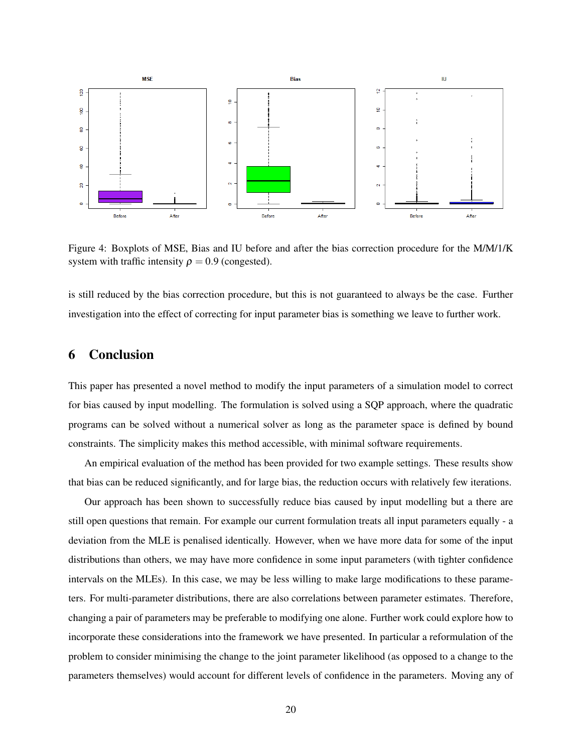<span id="page-19-1"></span>

Figure 4: Boxplots of MSE, Bias and IU before and after the bias correction procedure for the M/M/1/K system with traffic intensity  $\rho = 0.9$  (congested).

is still reduced by the bias correction procedure, but this is not guaranteed to always be the case. Further investigation into the effect of correcting for input parameter bias is something we leave to further work.

## <span id="page-19-0"></span>6 Conclusion

This paper has presented a novel method to modify the input parameters of a simulation model to correct for bias caused by input modelling. The formulation is solved using a SQP approach, where the quadratic programs can be solved without a numerical solver as long as the parameter space is defined by bound constraints. The simplicity makes this method accessible, with minimal software requirements.

An empirical evaluation of the method has been provided for two example settings. These results show that bias can be reduced significantly, and for large bias, the reduction occurs with relatively few iterations.

Our approach has been shown to successfully reduce bias caused by input modelling but a there are still open questions that remain. For example our current formulation treats all input parameters equally - a deviation from the MLE is penalised identically. However, when we have more data for some of the input distributions than others, we may have more confidence in some input parameters (with tighter confidence intervals on the MLEs). In this case, we may be less willing to make large modifications to these parameters. For multi-parameter distributions, there are also correlations between parameter estimates. Therefore, changing a pair of parameters may be preferable to modifying one alone. Further work could explore how to incorporate these considerations into the framework we have presented. In particular a reformulation of the problem to consider minimising the change to the joint parameter likelihood (as opposed to a change to the parameters themselves) would account for different levels of confidence in the parameters. Moving any of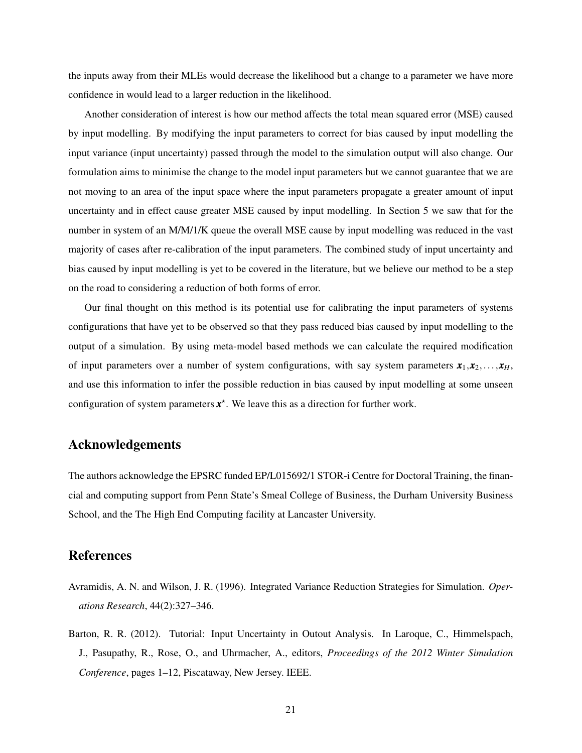the inputs away from their MLEs would decrease the likelihood but a change to a parameter we have more confidence in would lead to a larger reduction in the likelihood.

Another consideration of interest is how our method affects the total mean squared error (MSE) caused by input modelling. By modifying the input parameters to correct for bias caused by input modelling the input variance (input uncertainty) passed through the model to the simulation output will also change. Our formulation aims to minimise the change to the model input parameters but we cannot guarantee that we are not moving to an area of the input space where the input parameters propagate a greater amount of input uncertainty and in effect cause greater MSE caused by input modelling. In Section [5](#page-17-0) we saw that for the number in system of an M/M/1/K queue the overall MSE cause by input modelling was reduced in the vast majority of cases after re-calibration of the input parameters. The combined study of input uncertainty and bias caused by input modelling is yet to be covered in the literature, but we believe our method to be a step on the road to considering a reduction of both forms of error.

Our final thought on this method is its potential use for calibrating the input parameters of systems configurations that have yet to be observed so that they pass reduced bias caused by input modelling to the output of a simulation. By using meta-model based methods we can calculate the required modification of input parameters over a number of system configurations, with say system parameters  $\mathbf{x}_1, \mathbf{x}_2, \ldots, \mathbf{x}_H$ , and use this information to infer the possible reduction in bias caused by input modelling at some unseen configuration of system parameters  $x^*$ . We leave this as a direction for further work.

## Acknowledgements

The authors acknowledge the EPSRC funded EP/L015692/1 STOR-i Centre for Doctoral Training, the financial and computing support from Penn State's Smeal College of Business, the Durham University Business School, and the The High End Computing facility at Lancaster University.

## References

- <span id="page-20-1"></span>Avramidis, A. N. and Wilson, J. R. (1996). Integrated Variance Reduction Strategies for Simulation. *Operations Research*, 44(2):327–346.
- <span id="page-20-0"></span>Barton, R. R. (2012). Tutorial: Input Uncertainty in Outout Analysis. In Laroque, C., Himmelspach, J., Pasupathy, R., Rose, O., and Uhrmacher, A., editors, *Proceedings of the 2012 Winter Simulation Conference*, pages 1–12, Piscataway, New Jersey. IEEE.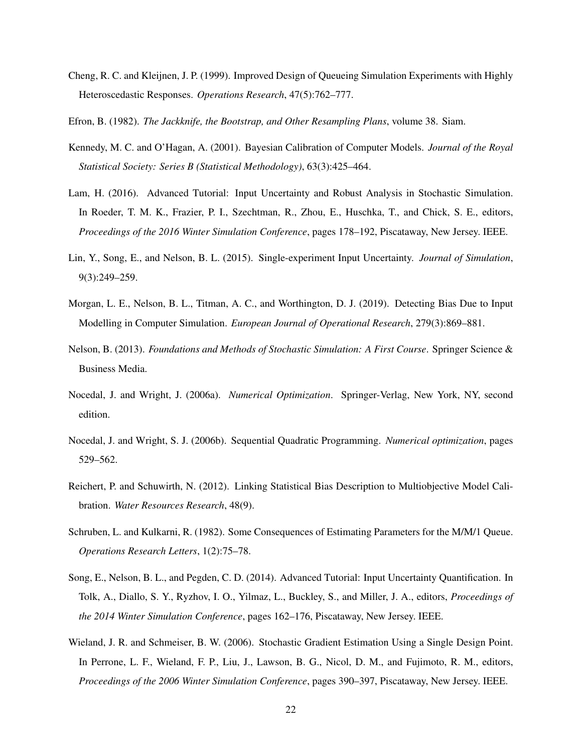<span id="page-21-11"></span>Cheng, R. C. and Kleijnen, J. P. (1999). Improved Design of Queueing Simulation Experiments with Highly Heteroscedastic Responses. *Operations Research*, 47(5):762–777.

<span id="page-21-4"></span>Efron, B. (1982). *The Jackknife, the Bootstrap, and Other Resampling Plans*, volume 38. Siam.

- <span id="page-21-3"></span>Kennedy, M. C. and O'Hagan, A. (2001). Bayesian Calibration of Computer Models. *Journal of the Royal Statistical Society: Series B (Statistical Methodology)*, 63(3):425–464.
- <span id="page-21-0"></span>Lam, H. (2016). Advanced Tutorial: Input Uncertainty and Robust Analysis in Stochastic Simulation. In Roeder, T. M. K., Frazier, P. I., Szechtman, R., Zhou, E., Huschka, T., and Chick, S. E., editors, *Proceedings of the 2016 Winter Simulation Conference*, pages 178–192, Piscataway, New Jersey. IEEE.
- <span id="page-21-8"></span>Lin, Y., Song, E., and Nelson, B. L. (2015). Single-experiment Input Uncertainty. *Journal of Simulation*, 9(3):249–259.
- <span id="page-21-1"></span>Morgan, L. E., Nelson, B. L., Titman, A. C., and Worthington, D. J. (2019). Detecting Bias Due to Input Modelling in Computer Simulation. *European Journal of Operational Research*, 279(3):869–881.
- <span id="page-21-10"></span>Nelson, B. (2013). *Foundations and Methods of Stochastic Simulation: A First Course*. Springer Science & Business Media.
- <span id="page-21-12"></span>Nocedal, J. and Wright, J. (2006a). *Numerical Optimization*. Springer-Verlag, New York, NY, second edition.
- <span id="page-21-6"></span>Nocedal, J. and Wright, S. J. (2006b). Sequential Quadratic Programming. *Numerical optimization*, pages 529–562.
- <span id="page-21-2"></span>Reichert, P. and Schuwirth, N. (2012). Linking Statistical Bias Description to Multiobjective Model Calibration. *Water Resources Research*, 48(9).
- <span id="page-21-9"></span>Schruben, L. and Kulkarni, R. (1982). Some Consequences of Estimating Parameters for the M/M/1 Queue. *Operations Research Letters*, 1(2):75–78.
- <span id="page-21-5"></span>Song, E., Nelson, B. L., and Pegden, C. D. (2014). Advanced Tutorial: Input Uncertainty Quantification. In Tolk, A., Diallo, S. Y., Ryzhov, I. O., Yilmaz, L., Buckley, S., and Miller, J. A., editors, *Proceedings of the 2014 Winter Simulation Conference*, pages 162–176, Piscataway, New Jersey. IEEE.
- <span id="page-21-7"></span>Wieland, J. R. and Schmeiser, B. W. (2006). Stochastic Gradient Estimation Using a Single Design Point. In Perrone, L. F., Wieland, F. P., Liu, J., Lawson, B. G., Nicol, D. M., and Fujimoto, R. M., editors, *Proceedings of the 2006 Winter Simulation Conference*, pages 390–397, Piscataway, New Jersey. IEEE.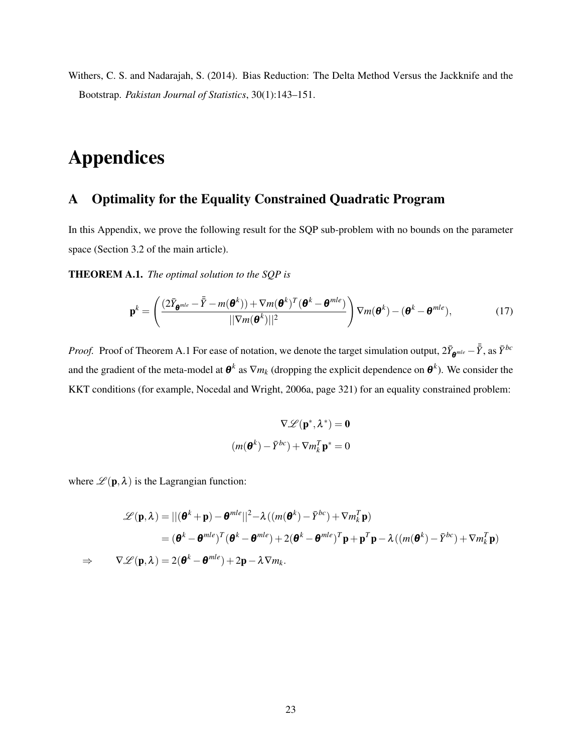<span id="page-22-0"></span>Withers, C. S. and Nadarajah, S. (2014). Bias Reduction: The Delta Method Versus the Jackknife and the Bootstrap. *Pakistan Journal of Statistics*, 30(1):143–151.

# Appendices

# A Optimality for the Equality Constrained Quadratic Program

In this Appendix, we prove the following result for the SQP sub-problem with no bounds on the parameter space (Section 3.2 of the main article).

<span id="page-22-1"></span>THEOREM A.1. *The optimal solution to the SQP is*

<span id="page-22-2"></span>
$$
\mathbf{p}^{k} = \left(\frac{(2\bar{Y}_{\boldsymbol{\theta}^{mle}} - \bar{\bar{Y}} - m(\boldsymbol{\theta}^{k}))+\nabla m(\boldsymbol{\theta}^{k})^{T}(\boldsymbol{\theta}^{k} - \boldsymbol{\theta}^{mle})}{\|\nabla m(\boldsymbol{\theta}^{k})\|^{2}}\right) \nabla m(\boldsymbol{\theta}^{k}) - (\boldsymbol{\theta}^{k} - \boldsymbol{\theta}^{mle}),
$$
(17)

*Proof.* Proof of Theorem [A.1](#page-22-1) For ease of notation, we denote the target simulation output,  $2\bar{Y}_{\theta^{mle}} - \bar{Y}$ , as  $\bar{Y}^{bc}$ and the gradient of the meta-model at  $\theta^k$  as  $\nabla m_k$  (dropping the explicit dependence on  $\theta^k$ ). We consider the KKT conditions (for example, [Nocedal and Wright,](#page-21-12) [2006a,](#page-21-12) page 321) for an equality constrained problem:

$$
\nabla \mathscr{L}(\mathbf{p}^*, \lambda^*) = \mathbf{0}
$$
  

$$
(m(\mathbf{\Theta}^k) - \bar{Y}^{bc}) + \nabla m_k^T \mathbf{p}^* = 0
$$

where  $\mathscr{L}(\mathbf{p},\lambda)$  is the Lagrangian function:

$$
\mathscr{L}(\mathbf{p},\lambda) = ||(\boldsymbol{\theta}^k + \mathbf{p}) - \boldsymbol{\theta}^{mle}||^2 - \lambda((m(\boldsymbol{\theta}^k) - \bar{Y}^{bc}) + \nabla m_k^T \mathbf{p})
$$
  
\n
$$
= (\boldsymbol{\theta}^k - \boldsymbol{\theta}^{mle})^T (\boldsymbol{\theta}^k - \boldsymbol{\theta}^{mle}) + 2(\boldsymbol{\theta}^k - \boldsymbol{\theta}^{mle})^T \mathbf{p} + \mathbf{p}^T \mathbf{p} - \lambda((m(\boldsymbol{\theta}^k) - \bar{Y}^{bc}) + \nabla m_k^T \mathbf{p})
$$
  
\n
$$
\Rightarrow \nabla \mathscr{L}(\mathbf{p},\lambda) = 2(\boldsymbol{\theta}^k - \boldsymbol{\theta}^{mle}) + 2\mathbf{p} - \lambda \nabla m_k.
$$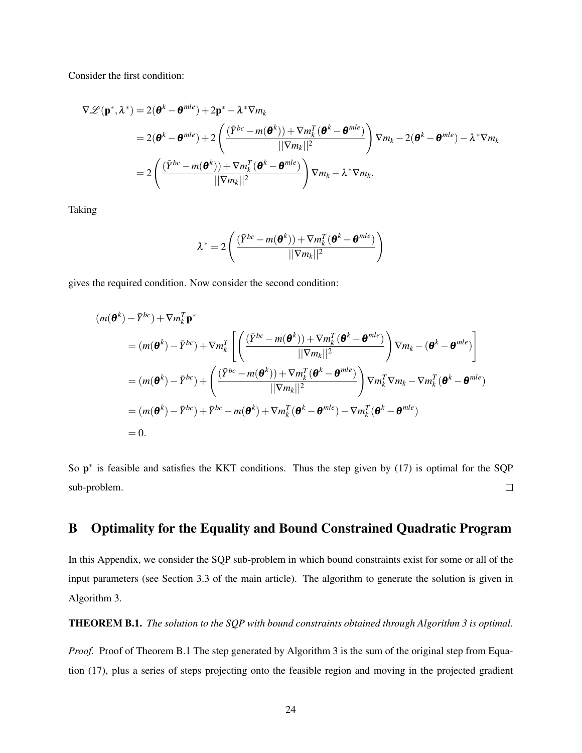Consider the first condition:

$$
\nabla \mathcal{L}(\mathbf{p}^*, \lambda^*) = 2(\mathbf{\theta}^k - \mathbf{\theta}^{mle}) + 2\mathbf{p}^* - \lambda^* \nabla m_k
$$
  
= 2(\mathbf{\theta}^k - \mathbf{\theta}^{mle}) + 2\left(\frac{(\bar{Y}^{bc} - m(\mathbf{\theta}^k)) + \nabla m\_k^T(\mathbf{\theta}^k - \mathbf{\theta}^{mle})}{\|\nabla m\_k\|^2}\right) \nabla m\_k - 2(\mathbf{\theta}^k - \mathbf{\theta}^{mle}) - \lambda^\* \nabla m\_k  
= 2\left(\frac{(\bar{Y}^{bc} - m(\mathbf{\theta}^k)) + \nabla m\_k^T(\mathbf{\theta}^k - \mathbf{\theta}^{mle})}{\|\nabla m\_k\|^2}\right) \nabla m\_k - \lambda^\* \nabla m\_k.

Taking

$$
\lambda^* = 2\left(\frac{(\bar{Y}^{bc} - m(\boldsymbol{\theta}^k)) + \nabla m_k^T(\boldsymbol{\theta}^k - \boldsymbol{\theta}^{mle})}{\lvert\lvert \nabla m_k\rvert\rvert^2}\right)
$$

gives the required condition. Now consider the second condition:

$$
(m(\boldsymbol{\theta}^{k}) - \bar{Y}^{bc}) + \nabla m_{k}^{T} \mathbf{p}^{*}
$$
  
\n
$$
= (m(\boldsymbol{\theta}^{k}) - \bar{Y}^{bc}) + \nabla m_{k}^{T} \left[ \left( \frac{(\bar{Y}^{bc} - m(\boldsymbol{\theta}^{k})) + \nabla m_{k}^{T} (\boldsymbol{\theta}^{k} - \boldsymbol{\theta}^{mle})}{\|\nabla m_{k}\|^{2}} \right) \nabla m_{k} - (\boldsymbol{\theta}^{k} - \boldsymbol{\theta}^{mle}) \right]
$$
  
\n
$$
= (m(\boldsymbol{\theta}^{k}) - \bar{Y}^{bc}) + \left( \frac{(\bar{Y}^{bc} - m(\boldsymbol{\theta}^{k})) + \nabla m_{k}^{T} (\boldsymbol{\theta}^{k} - \boldsymbol{\theta}^{mle})}{\|\nabla m_{k}\|^{2}} \right) \nabla m_{k}^{T} \nabla m_{k} - \nabla m_{k}^{T} (\boldsymbol{\theta}^{k} - \boldsymbol{\theta}^{mle})
$$
  
\n
$$
= (m(\boldsymbol{\theta}^{k}) - \bar{Y}^{bc}) + \bar{Y}^{bc} - m(\boldsymbol{\theta}^{k}) + \nabla m_{k}^{T} (\boldsymbol{\theta}^{k} - \boldsymbol{\theta}^{mle}) - \nabla m_{k}^{T} (\boldsymbol{\theta}^{k} - \boldsymbol{\theta}^{mle})
$$
  
\n
$$
= 0.
$$

So  $p^*$  is feasible and satisfies the KKT conditions. Thus the step given by [\(17\)](#page-22-2) is optimal for the SQP sub-problem.  $\Box$ 

# B Optimality for the Equality and Bound Constrained Quadratic Program

In this Appendix, we consider the SQP sub-problem in which bound constraints exist for some or all of the input parameters (see Section 3.3 of the main article). The algorithm to generate the solution is given in Algorithm [3.](#page-24-0)

<span id="page-23-0"></span>THEOREM B.1. *The solution to the SQP with bound constraints obtained through Algorithm [3](#page-24-0) is optimal.*

*Proof.* Proof of Theorem [B.1](#page-23-0) The step generated by Algorithm [3](#page-24-0) is the sum of the original step from Equation [\(17\)](#page-22-2), plus a series of steps projecting onto the feasible region and moving in the projected gradient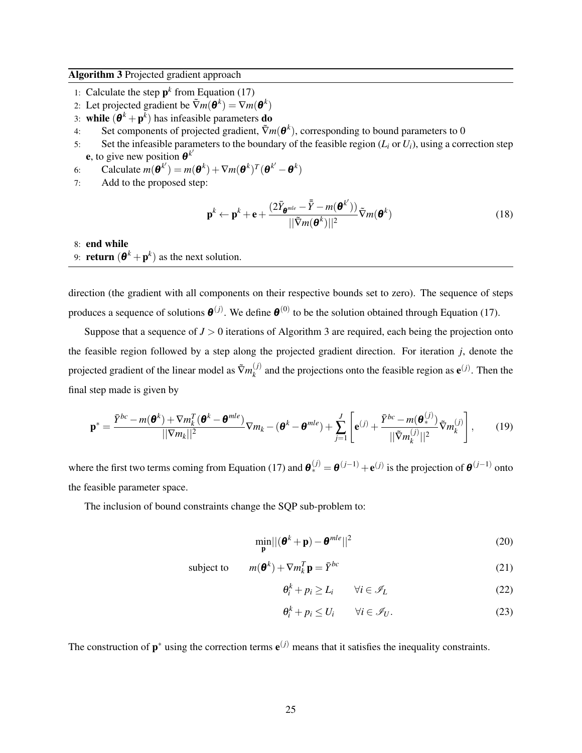#### <span id="page-24-0"></span>Algorithm 3 Projected gradient approach

- 1: Calculate the step  $p^k$  from Equation [\(17\)](#page-22-2)
- 2: Let projected gradient be  $\tilde{\nabla}m(\boldsymbol{\theta}^k) = \nabla m(\boldsymbol{\theta}^k)$
- 3: while  $(\mathbf{\theta}^k + \mathbf{p}^k)$  has infeasible parameters **do**
- 4: Set components of projected gradient,  $\tilde{\nabla}m(\boldsymbol{\theta}^k)$ , corresponding to bound parameters to 0
- 5: Set the infeasible parameters to the boundary of the feasible region  $(L_i \text{ or } U_i)$ , using a correction step **e**, to give new position  $\mathbf{\theta}^{k'}$
- 6: Calculate  $m(\boldsymbol{\theta}^{k'}) = m(\boldsymbol{\theta}^k) + \nabla m(\boldsymbol{\theta}^k)^T(\boldsymbol{\theta}^{k'} \boldsymbol{\theta}^k)$
- 7: Add to the proposed step:

$$
\mathbf{p}^{k} \leftarrow \mathbf{p}^{k} + \mathbf{e} + \frac{(2\bar{Y}_{\mathbf{\Theta}^{mle}} - \bar{\bar{Y}} - m(\mathbf{\Theta}^{k'}))}{||\tilde{\nabla}m(\mathbf{\Theta}^{k})||^{2}} \tilde{\nabla}m(\mathbf{\Theta}^{k})
$$
(18)

## 8: end while 9: **return**  $(\mathbf{\theta}^k + \mathbf{p}^k)$  as the next solution.

direction (the gradient with all components on their respective bounds set to zero). The sequence of steps produces a sequence of solutions  $\boldsymbol{\theta}^{(j)}$ . We define  $\boldsymbol{\theta}^{(0)}$  to be the solution obtained through Equation [\(17\)](#page-22-2).

Suppose that a sequence of  $J > 0$  iterations of Algorithm [3](#page-24-0) are required, each being the projection onto the feasible region followed by a step along the projected gradient direction. For iteration *j*, denote the projected gradient of the linear model as  $\tilde{\nabla}m_k^{(j)}$  $\mathbf{R}_{k}^{(j)}$  and the projections onto the feasible region as  $\mathbf{e}^{(j)}$ . Then the final step made is given by

<span id="page-24-2"></span>
$$
\mathbf{p}^* = \frac{\bar{Y}^{bc} - m(\boldsymbol{\theta}^k) + \nabla m_k^T(\boldsymbol{\theta}^k - \boldsymbol{\theta}^{mle})}{||\nabla m_k||^2} \nabla m_k - (\boldsymbol{\theta}^k - \boldsymbol{\theta}^{mle}) + \sum_{j=1}^J \left[ \mathbf{e}^{(j)} + \frac{\bar{Y}^{bc} - m(\boldsymbol{\theta}^{(j)}_*)}{||\nabla m_k^{(j)}||^2} \tilde{\nabla} m_k^{(j)} \right],
$$
(19)

where the first two terms coming from Equation [\(17\)](#page-22-2) and  $\theta_*^{(j)} = \theta^{(j-1)} + e^{(j)}$  is the projection of  $\theta^{(j-1)}$  onto the feasible parameter space.

The inclusion of bound constraints change the SQP sub-problem to:

$$
\min_{\mathbf{p}} ||(\boldsymbol{\theta}^k + \mathbf{p}) - \boldsymbol{\theta}^{mle}||^2
$$
 (20)

subject to 
$$
m(\boldsymbol{\theta}^k) + \nabla m_k^T \mathbf{p} = \bar{Y}^{bc}
$$
 (21)

<span id="page-24-1"></span>
$$
\theta_i^k + p_i \ge L_i \qquad \forall i \in \mathcal{I}_L \tag{22}
$$

$$
\theta_i^k + p_i \le U_i \qquad \forall i \in \mathcal{I}_U. \tag{23}
$$

The construction of  $p^*$  using the correction terms  $e^{(j)}$  means that it satisfies the inequality constraints.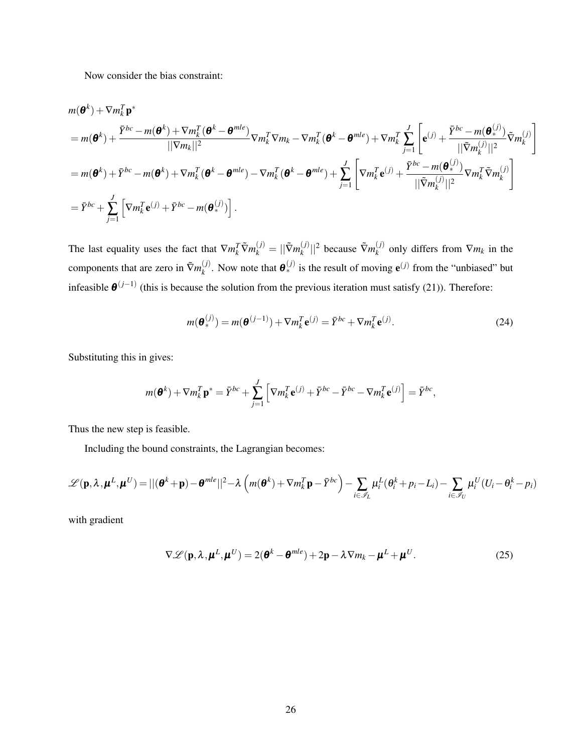Now consider the bias constraint:

$$
m(\boldsymbol{\theta}^{k}) + \nabla m_{k}^{T} \mathbf{p}^{*}
$$
\n
$$
= m(\boldsymbol{\theta}^{k}) + \frac{\bar{Y}^{bc} - m(\boldsymbol{\theta}^{k}) + \nabla m_{k}^{T}(\boldsymbol{\theta}^{k} - \boldsymbol{\theta}^{mle})}{||\nabla m_{k}||^{2}} \nabla m_{k}^{T} \nabla m_{k} - \nabla m_{k}^{T}(\boldsymbol{\theta}^{k} - \boldsymbol{\theta}^{mle}) + \nabla m_{k}^{T} \sum_{j=1}^{J} \left[ \mathbf{e}^{(j)} + \frac{\bar{Y}^{bc} - m(\boldsymbol{\theta}^{(j)}_{*})}{||\nabla m_{k}^{(j)}||^{2}} \tilde{\nabla} m_{k}^{(j)} \right]
$$
\n
$$
= m(\boldsymbol{\theta}^{k}) + \bar{Y}^{bc} - m(\boldsymbol{\theta}^{k}) + \nabla m_{k}^{T}(\boldsymbol{\theta}^{k} - \boldsymbol{\theta}^{mle}) - \nabla m_{k}^{T}(\boldsymbol{\theta}^{k} - \boldsymbol{\theta}^{mle}) + \sum_{j=1}^{J} \left[ \nabla m_{k}^{T} \mathbf{e}^{(j)} + \frac{\bar{Y}^{bc} - m(\boldsymbol{\theta}^{(j)}_{*})}{||\nabla m_{k}^{(j)}||^{2}} \nabla m_{k}^{T} \tilde{\nabla} m_{k}^{(j)} \right]
$$
\n
$$
= \bar{Y}^{bc} + \sum_{j=1}^{J} \left[ \nabla m_{k}^{T} \mathbf{e}^{(j)} + \bar{Y}^{bc} - m(\boldsymbol{\theta}^{(j)}_{*}) \right].
$$

The last equality uses the fact that  $\nabla m_k^T \tilde{\nabla} m_k^{(j)} = ||\tilde{\nabla} m_k^{(j)}||$  $\vert k^{(j)} \vert \vert^2$  because  $\tilde{\nabla}m_k^{(j)}$  $\binom{U}{k}$  only differs from  $\nabla m_k$  in the components that are zero in  $\tilde{\nabla}m_k^{(j)}$  $\mathbf{e}^{(j)}$ . Now note that  $\mathbf{\theta}^{(j)}_*$  is the result of moving  $\mathbf{e}^{(j)}$  from the "unbiased" but infeasible  $\boldsymbol{\theta}^{(j-1)}$  (this is because the solution from the previous iteration must satisfy [\(21\)](#page-24-1)). Therefore:

<span id="page-25-0"></span>
$$
m(\boldsymbol{\theta}_{*}^{(j)}) = m(\boldsymbol{\theta}^{(j-1)}) + \nabla m_{k}^{T} \mathbf{e}^{(j)} = \bar{Y}^{bc} + \nabla m_{k}^{T} \mathbf{e}^{(j)}.
$$
 (24)

Substituting this in gives:

$$
m(\boldsymbol{\theta}^k) + \nabla m_k^T \mathbf{p}^* = \bar{Y}^{bc} + \sum_{j=1}^J \left[ \nabla m_k^T \mathbf{e}^{(j)} + \bar{Y}^{bc} - \bar{Y}^{bc} - \nabla m_k^T \mathbf{e}^{(j)} \right] = \bar{Y}^{bc},
$$

Thus the new step is feasible.

Including the bound constraints, the Lagrangian becomes:

$$
\mathscr{L}(\mathbf{p},\lambda,\boldsymbol{\mu}^{L},\boldsymbol{\mu}^{U}) = ||(\boldsymbol{\theta}^{k}+\mathbf{p})-\boldsymbol{\theta}^{mle}||^{2}-\lambda\left(m(\boldsymbol{\theta}^{k})+\nabla m_{k}^{T}\mathbf{p}-\bar{Y}^{bc}\right)-\sum_{i\in\mathscr{I}_{L}}\mu_{i}^{L}(\theta_{i}^{k}+p_{i}-L_{i})-\sum_{i\in\mathscr{I}_{U}}\mu_{i}^{U}(U_{i}-\theta_{i}^{k}-p_{i})
$$

with gradient

$$
\nabla \mathcal{L}(\mathbf{p}, \lambda, \boldsymbol{\mu}^L, \boldsymbol{\mu}^U) = 2(\boldsymbol{\theta}^k - \boldsymbol{\theta}^{mle}) + 2\mathbf{p} - \lambda \nabla m_k - \boldsymbol{\mu}^L + \boldsymbol{\mu}^U.
$$
 (25)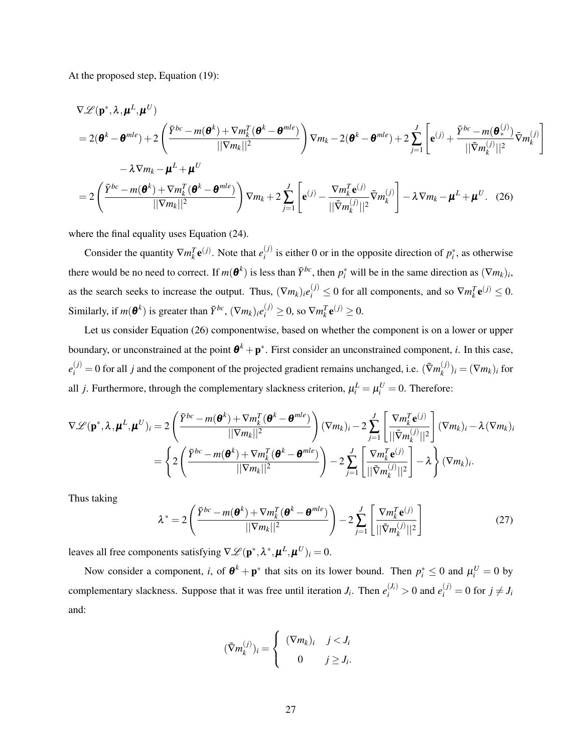At the proposed step, Equation [\(19\)](#page-24-2):

<span id="page-26-0"></span>
$$
\nabla \mathcal{L}(\mathbf{p}^*, \lambda, \boldsymbol{\mu}^L, \boldsymbol{\mu}^U)
$$
  
=  $2(\boldsymbol{\theta}^k - \boldsymbol{\theta}^{mle}) + 2\left(\frac{\bar{Y}^{bc} - m(\boldsymbol{\theta}^k) + \nabla m_k^T(\boldsymbol{\theta}^k - \boldsymbol{\theta}^{mle})}{\|\nabla m_k\|^2}\right) \nabla m_k - 2(\boldsymbol{\theta}^k - \boldsymbol{\theta}^{mle}) + 2\sum_{j=1}^J \left[\mathbf{e}^{(j)} + \frac{\bar{Y}^{bc} - m(\boldsymbol{\theta}^{(j)}_*)}{\|\nabla m_k^{\left(j\right)}\|^2} \tilde{\nabla} m_k^{\left(j\right)}\right] \n- \lambda \nabla m_k - \boldsymbol{\mu}^L + \boldsymbol{\mu}^U$   
=  $2\left(\frac{\bar{Y}^{bc} - m(\boldsymbol{\theta}^k) + \nabla m_k^T(\boldsymbol{\theta}^k - \boldsymbol{\theta}^{mle})}{\|\nabla m_k\|^2}\right) \nabla m_k + 2\sum_{j=1}^J \left[\mathbf{e}^{(j)} - \frac{\nabla m_k^T \mathbf{e}^{(j)}}{\|\nabla m_k^{\left(j\right)}\|^2} \tilde{\nabla} m_k^{\left(j\right)}\right] - \lambda \nabla m_k - \boldsymbol{\mu}^L + \boldsymbol{\mu}^U.$  (26)

where the final equality uses Equation [\(24\)](#page-25-0).

Consider the quantity  $\nabla m_k^T \mathbf{e}^{(j)}$ . Note that  $e_i^{(j)}$  $i_j^{(j)}$  is either 0 or in the opposite direction of  $p_i^*$ , as otherwise there would be no need to correct. If  $m(\theta^k)$  is less than  $\bar{Y}^{bc}$ , then  $p_i^*$  will be in the same direction as  $(\nabla m_k)_i$ , as the search seeks to increase the output. Thus,  $(\nabla m_k)_i e_i^{(j)} \leq 0$  for all components, and so  $\nabla m_k^T \mathbf{e}^{(j)} \leq 0$ . Similarly, if  $m(\boldsymbol{\theta}^k)$  is greater than  $\bar{Y}^{bc}$ ,  $(\nabla m_k)_i e_i^{(j)} \ge 0$ , so  $\nabla m_k^T \mathbf{e}^{(j)} \ge 0$ .

Let us consider Equation [\(26\)](#page-26-0) componentwise, based on whether the component is on a lower or upper boundary, or unconstrained at the point  $\theta^k + p^*$ . First consider an unconstrained component, *i*. In this case,  $e_i^{(j)} = 0$  for all *j* and the component of the projected gradient remains unchanged, i.e. ( $\tilde{\nabla}m_k^{(j)}$  $\binom{y}{k}$ *i* =  $(\nabla m_k)_i$  for all *j*. Furthermore, through the complementary slackness criterion,  $\mu_i^L = \mu_i^U = 0$ . Therefore:

$$
\nabla \mathcal{L}(\mathbf{p}^*, \lambda, \boldsymbol{\mu}^L, \boldsymbol{\mu}^U)_i = 2 \left( \frac{\bar{Y}^{bc} - m(\boldsymbol{\theta}^k) + \nabla m_k^T(\boldsymbol{\theta}^k - \boldsymbol{\theta}^{mle})}{||\nabla m_k||^2} \right) (\nabla m_k)_i - 2 \sum_{j=1}^J \left[ \frac{\nabla m_k^T \mathbf{e}^{(j)}}{||\nabla m_k^U||^2} \right] (\nabla m_k)_i - \lambda (\nabla m_k)_i
$$

$$
= \left\{ 2 \left( \frac{\bar{Y}^{bc} - m(\boldsymbol{\theta}^k) + \nabla m_k^T(\boldsymbol{\theta}^k - \boldsymbol{\theta}^{mle})}{||\nabla m_k||^2} \right) - 2 \sum_{j=1}^J \left[ \frac{\nabla m_k^T \mathbf{e}^{(j)}}{||\nabla m_k^U||^2} \right] - \lambda \right\} (\nabla m_k)_i.
$$

Thus taking

<span id="page-26-1"></span>
$$
\lambda^* = 2\left(\frac{\bar{Y}^{bc} - m(\boldsymbol{\theta}^k) + \nabla m_k^T(\boldsymbol{\theta}^k - \boldsymbol{\theta}^{mle})}{\|\nabla m_k\|^2}\right) - 2\sum_{j=1}^J \left[\frac{\nabla m_k^T \mathbf{e}^{(j)}}{\|\tilde{\nabla} m_k^{(j)}\|^2}\right]
$$
(27)

leaves all free components satisfying  $\nabla \mathcal{L}(\mathbf{p}^*, \lambda^*, \boldsymbol{\mu}^L, \boldsymbol{\mu}^U)_i = 0.$ 

Now consider a component, *i*, of  $\theta^k + p^*$  that sits on its lower bound. Then  $p_i^* \le 0$  and  $\mu_i^U = 0$  by complementary slackness. Suppose that it was free until iteration *J<sub>i</sub>*. Then  $e_i^{(J_i)} > 0$  and  $e_i^{(j)} = 0$  for  $j \neq J_i$ and:

$$
(\tilde{\nabla}m_k^{(j)})_i = \begin{cases} (\nabla m_k)_i & j < J_i \\ 0 & j \ge J_i. \end{cases}
$$